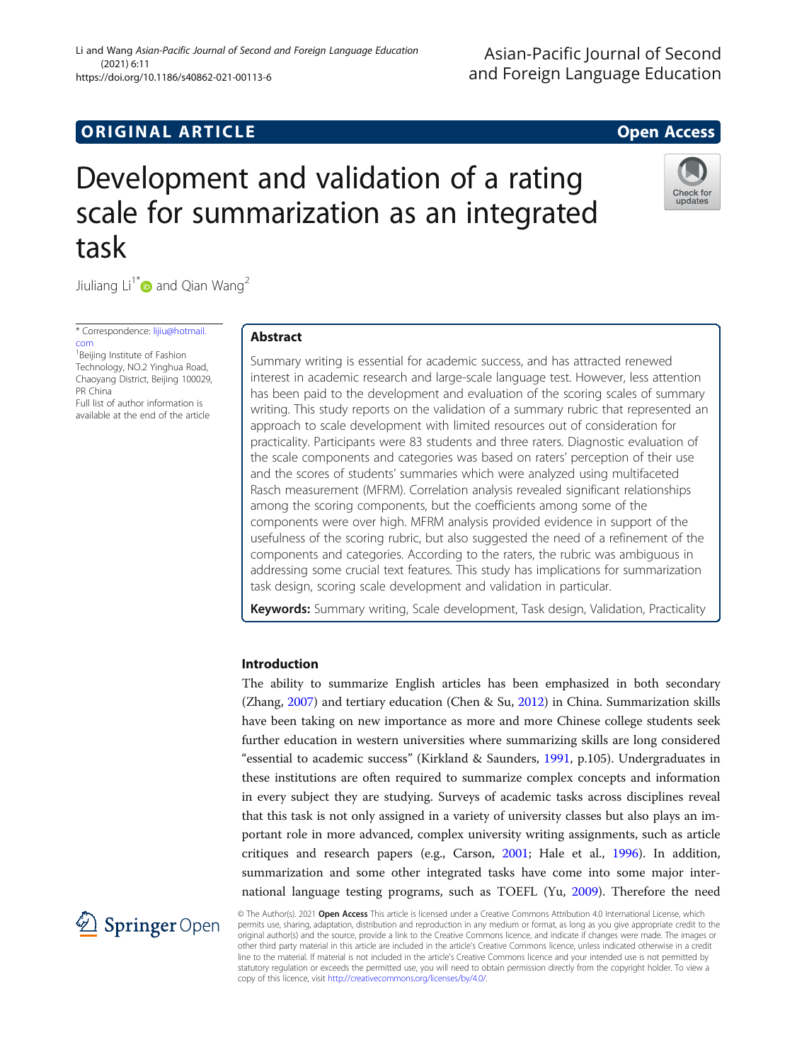## **ORIGINAL ARTICLE CONSUMING A LIGACION** CONSUMING A LIGACION CONSUMING A LIGACION CONSUMING A LIGACION CONSUMING A LIGACION CONSUMING A LIGACION CONSUMING A LIGACION CONSUMING A LIGACION CONSUMING A LIGACION CONSUMING A

Check for update

# Development and validation of a rating scale for summarization as an integrated task

Jiuliang  $Li^{1*}$  and Qian Wang<sup>2</sup>

\* Correspondence: [lijiu@hotmail.](mailto:lijiu@hotmail.com) [com](mailto:lijiu@hotmail.com) <sup>1</sup> Beijing Institute of Fashion

Technology, NO.2 Yinghua Road, Chaoyang District, Beijing 100029, PR China Full list of author information is

available at the end of the article

### Abstract

Summary writing is essential for academic success, and has attracted renewed interest in academic research and large-scale language test. However, less attention has been paid to the development and evaluation of the scoring scales of summary writing. This study reports on the validation of a summary rubric that represented an approach to scale development with limited resources out of consideration for practicality. Participants were 83 students and three raters. Diagnostic evaluation of the scale components and categories was based on raters' perception of their use and the scores of students' summaries which were analyzed using multifaceted Rasch measurement (MFRM). Correlation analysis revealed significant relationships among the scoring components, but the coefficients among some of the components were over high. MFRM analysis provided evidence in support of the usefulness of the scoring rubric, but also suggested the need of a refinement of the components and categories. According to the raters, the rubric was ambiguous in addressing some crucial text features. This study has implications for summarization task design, scoring scale development and validation in particular.

Keywords: Summary writing, Scale development, Task design, Validation, Practicality

#### Introduction

The ability to summarize English articles has been emphasized in both secondary (Zhang, [2007\)](#page-20-0) and tertiary education (Chen & Su, [2012\)](#page-19-0) in China. Summarization skills have been taking on new importance as more and more Chinese college students seek further education in western universities where summarizing skills are long considered "essential to academic success" (Kirkland & Saunders, [1991](#page-19-0), p.105). Undergraduates in these institutions are often required to summarize complex concepts and information in every subject they are studying. Surveys of academic tasks across disciplines reveal that this task is not only assigned in a variety of university classes but also plays an important role in more advanced, complex university writing assignments, such as article critiques and research papers (e.g., Carson, [2001](#page-19-0); Hale et al., [1996](#page-19-0)). In addition, summarization and some other integrated tasks have come into some major international language testing programs, such as TOEFL (Yu, [2009](#page-20-0)). Therefore the need



© The Author(s). 2021 Open Access This article is licensed under a Creative Commons Attribution 4.0 International License, which permits use, sharing, adaptation, distribution and reproduction in any medium or format, as long as you give appropriate credit to the original author(s) and the source, provide a link to the Creative Commons licence, and indicate if changes were made. The images or other third party material in this article are included in the article's Creative Commons licence, unless indicated otherwise in a credit line to the material. If material is not included in the article's Creative Commons licence and your intended use is not permitted by statutory regulation or exceeds the permitted use, you will need to obtain permission directly from the copyright holder. To view a copy of this licence, visit <http://creativecommons.org/licenses/by/4.0/>.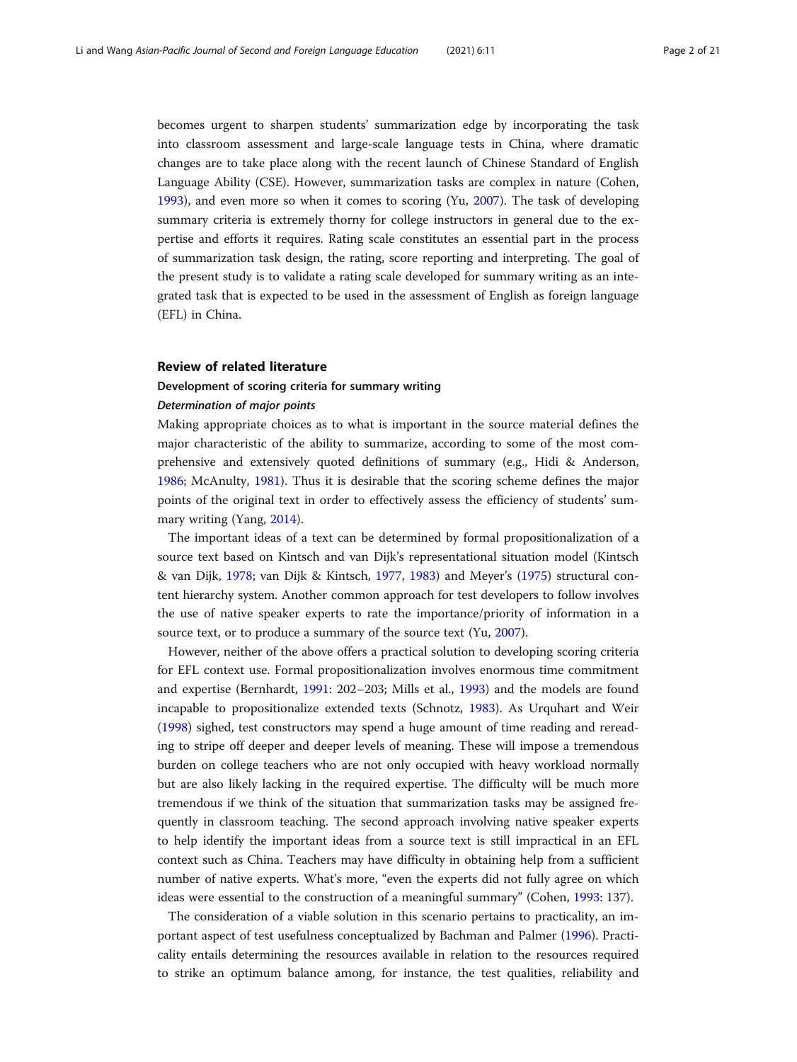becomes urgent to sharpen students' summarization edge by incorporating the task into classroom assessment and large-scale language tests in China, where dramatic changes are to take place along with the recent launch of Chinese Standard of English Language Ability (CSE). However, summarization tasks are complex in nature (Cohen, [1993](#page-19-0)), and even more so when it comes to scoring (Yu, [2007\)](#page-20-0). The task of developing summary criteria is extremely thorny for college instructors in general due to the expertise and efforts it requires. Rating scale constitutes an essential part in the process of summarization task design, the rating, score reporting and interpreting. The goal of the present study is to validate a rating scale developed for summary writing as an integrated task that is expected to be used in the assessment of English as foreign language (EFL) in China.

#### Review of related literature

# Development of scoring criteria for summary writing

#### Determination of major points

Making appropriate choices as to what is important in the source material defines the major characteristic of the ability to summarize, according to some of the most comprehensive and extensively quoted definitions of summary (e.g., Hidi & Anderson, [1986](#page-19-0); McAnulty, [1981\)](#page-20-0). Thus it is desirable that the scoring scheme defines the major points of the original text in order to effectively assess the efficiency of students' summary writing (Yang, [2014\)](#page-20-0).

The important ideas of a text can be determined by formal propositionalization of a source text based on Kintsch and van Dijk's representational situation model (Kintsch & van Dijk, [1978;](#page-19-0) van Dijk & Kintsch, [1977](#page-20-0), [1983\)](#page-20-0) and Meyer's ([1975](#page-20-0)) structural content hierarchy system. Another common approach for test developers to follow involves the use of native speaker experts to rate the importance/priority of information in a source text, or to produce a summary of the source text (Yu, [2007\)](#page-20-0).

However, neither of the above offers a practical solution to developing scoring criteria for EFL context use. Formal propositionalization involves enormous time commitment and expertise (Bernhardt, [1991:](#page-19-0) 202–203; Mills et al., [1993\)](#page-20-0) and the models are found incapable to propositionalize extended texts (Schnotz, [1983](#page-20-0)). As Urquhart and Weir ([1998](#page-20-0)) sighed, test constructors may spend a huge amount of time reading and rereading to stripe off deeper and deeper levels of meaning. These will impose a tremendous burden on college teachers who are not only occupied with heavy workload normally but are also likely lacking in the required expertise. The difficulty will be much more tremendous if we think of the situation that summarization tasks may be assigned frequently in classroom teaching. The second approach involving native speaker experts to help identify the important ideas from a source text is still impractical in an EFL context such as China. Teachers may have difficulty in obtaining help from a sufficient number of native experts. What's more, "even the experts did not fully agree on which ideas were essential to the construction of a meaningful summary" (Cohen, [1993](#page-19-0): 137).

The consideration of a viable solution in this scenario pertains to practicality, an important aspect of test usefulness conceptualized by Bachman and Palmer [\(1996](#page-19-0)). Practicality entails determining the resources available in relation to the resources required to strike an optimum balance among, for instance, the test qualities, reliability and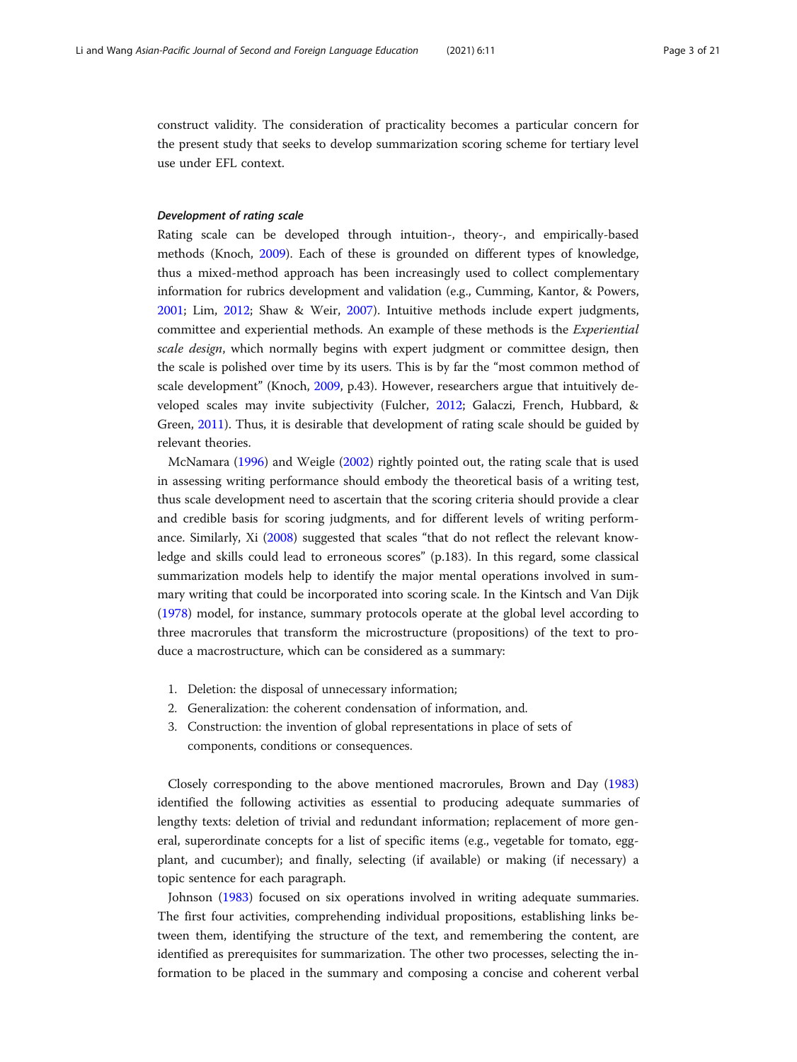construct validity. The consideration of practicality becomes a particular concern for the present study that seeks to develop summarization scoring scheme for tertiary level use under EFL context.

#### Development of rating scale

Rating scale can be developed through intuition-, theory-, and empirically-based methods (Knoch, [2009\)](#page-19-0). Each of these is grounded on different types of knowledge, thus a mixed-method approach has been increasingly used to collect complementary information for rubrics development and validation (e.g., Cumming, Kantor, & Powers, [2001](#page-19-0); Lim, [2012;](#page-19-0) Shaw & Weir, [2007\)](#page-20-0). Intuitive methods include expert judgments, committee and experiential methods. An example of these methods is the Experiential scale design, which normally begins with expert judgment or committee design, then the scale is polished over time by its users. This is by far the "most common method of scale development" (Knoch, [2009](#page-19-0), p.43). However, researchers argue that intuitively developed scales may invite subjectivity (Fulcher, [2012;](#page-19-0) Galaczi, French, Hubbard, & Green, [2011\)](#page-19-0). Thus, it is desirable that development of rating scale should be guided by relevant theories.

McNamara ([1996\)](#page-20-0) and Weigle ([2002](#page-20-0)) rightly pointed out, the rating scale that is used in assessing writing performance should embody the theoretical basis of a writing test, thus scale development need to ascertain that the scoring criteria should provide a clear and credible basis for scoring judgments, and for different levels of writing performance. Similarly, Xi ([2008](#page-20-0)) suggested that scales "that do not reflect the relevant knowledge and skills could lead to erroneous scores" (p.183). In this regard, some classical summarization models help to identify the major mental operations involved in summary writing that could be incorporated into scoring scale. In the Kintsch and Van Dijk ([1978](#page-19-0)) model, for instance, summary protocols operate at the global level according to three macrorules that transform the microstructure (propositions) of the text to produce a macrostructure, which can be considered as a summary:

- 1. Deletion: the disposal of unnecessary information;
- 2. Generalization: the coherent condensation of information, and.
- 3. Construction: the invention of global representations in place of sets of components, conditions or consequences.

Closely corresponding to the above mentioned macrorules, Brown and Day ([1983](#page-19-0)) identified the following activities as essential to producing adequate summaries of lengthy texts: deletion of trivial and redundant information; replacement of more general, superordinate concepts for a list of specific items (e.g., vegetable for tomato, eggplant, and cucumber); and finally, selecting (if available) or making (if necessary) a topic sentence for each paragraph.

Johnson [\(1983](#page-19-0)) focused on six operations involved in writing adequate summaries. The first four activities, comprehending individual propositions, establishing links between them, identifying the structure of the text, and remembering the content, are identified as prerequisites for summarization. The other two processes, selecting the information to be placed in the summary and composing a concise and coherent verbal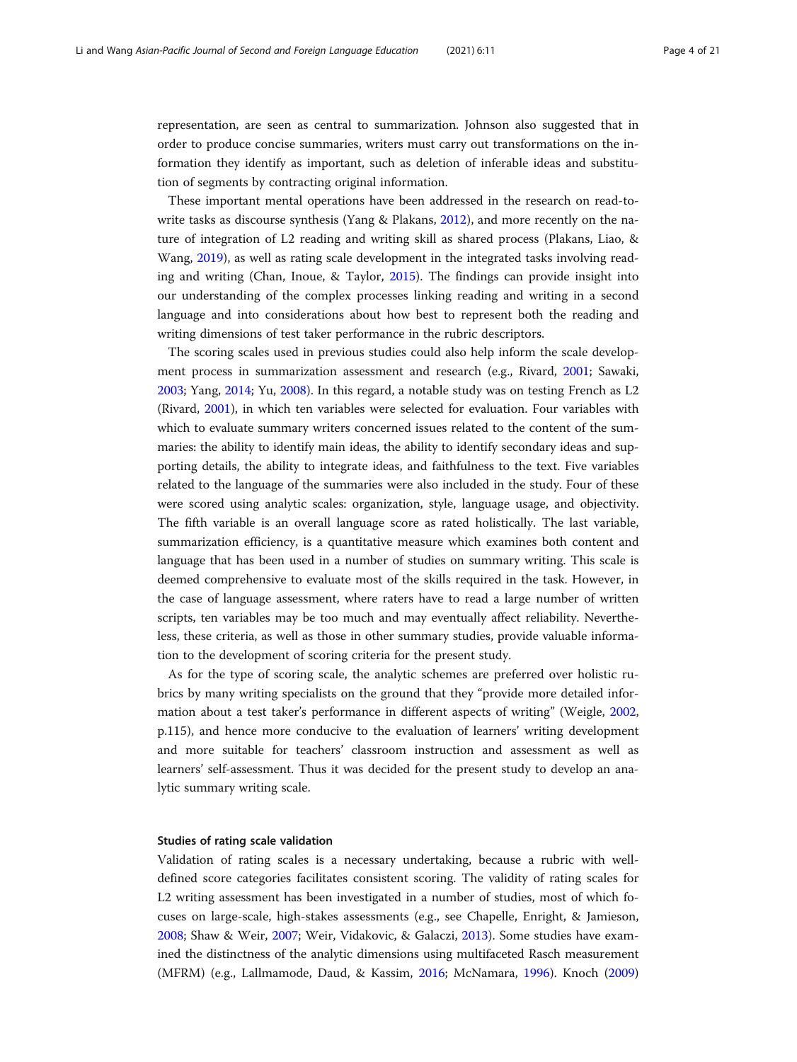representation, are seen as central to summarization. Johnson also suggested that in order to produce concise summaries, writers must carry out transformations on the information they identify as important, such as deletion of inferable ideas and substitution of segments by contracting original information.

These important mental operations have been addressed in the research on read-towrite tasks as discourse synthesis (Yang & Plakans, [2012\)](#page-20-0), and more recently on the nature of integration of L2 reading and writing skill as shared process (Plakans, Liao, & Wang, [2019\)](#page-20-0), as well as rating scale development in the integrated tasks involving reading and writing (Chan, Inoue, & Taylor, [2015\)](#page-19-0). The findings can provide insight into our understanding of the complex processes linking reading and writing in a second language and into considerations about how best to represent both the reading and writing dimensions of test taker performance in the rubric descriptors.

The scoring scales used in previous studies could also help inform the scale development process in summarization assessment and research (e.g., Rivard, [2001;](#page-20-0) Sawaki, [2003](#page-20-0); Yang, [2014;](#page-20-0) Yu, [2008](#page-20-0)). In this regard, a notable study was on testing French as L2 (Rivard, [2001\)](#page-20-0), in which ten variables were selected for evaluation. Four variables with which to evaluate summary writers concerned issues related to the content of the summaries: the ability to identify main ideas, the ability to identify secondary ideas and supporting details, the ability to integrate ideas, and faithfulness to the text. Five variables related to the language of the summaries were also included in the study. Four of these were scored using analytic scales: organization, style, language usage, and objectivity. The fifth variable is an overall language score as rated holistically. The last variable, summarization efficiency, is a quantitative measure which examines both content and language that has been used in a number of studies on summary writing. This scale is deemed comprehensive to evaluate most of the skills required in the task. However, in the case of language assessment, where raters have to read a large number of written scripts, ten variables may be too much and may eventually affect reliability. Nevertheless, these criteria, as well as those in other summary studies, provide valuable information to the development of scoring criteria for the present study.

As for the type of scoring scale, the analytic schemes are preferred over holistic rubrics by many writing specialists on the ground that they "provide more detailed information about a test taker's performance in different aspects of writing" (Weigle, [2002](#page-20-0), p.115), and hence more conducive to the evaluation of learners' writing development and more suitable for teachers' classroom instruction and assessment as well as learners' self-assessment. Thus it was decided for the present study to develop an analytic summary writing scale.

#### Studies of rating scale validation

Validation of rating scales is a necessary undertaking, because a rubric with welldefined score categories facilitates consistent scoring. The validity of rating scales for L2 writing assessment has been investigated in a number of studies, most of which focuses on large-scale, high-stakes assessments (e.g., see Chapelle, Enright, & Jamieson, [2008](#page-19-0); Shaw & Weir, [2007](#page-20-0); Weir, Vidakovic, & Galaczi, [2013\)](#page-20-0). Some studies have examined the distinctness of the analytic dimensions using multifaceted Rasch measurement (MFRM) (e.g., Lallmamode, Daud, & Kassim, [2016;](#page-19-0) McNamara, [1996](#page-20-0)). Knoch ([2009](#page-19-0))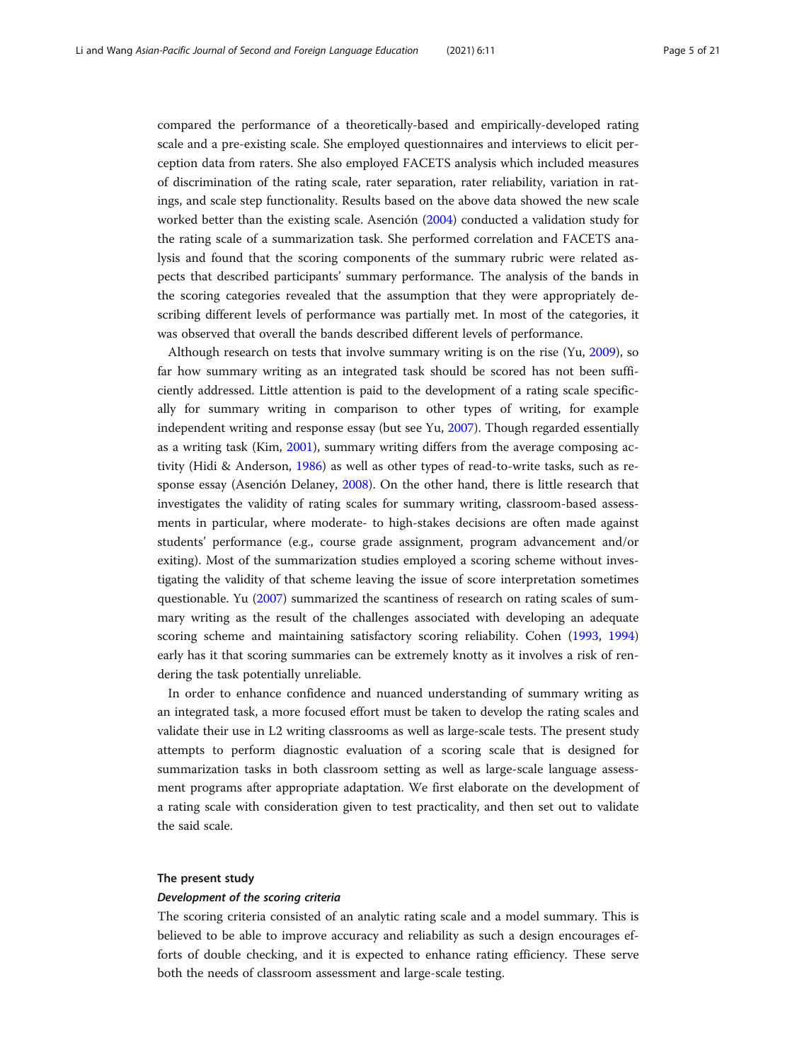compared the performance of a theoretically-based and empirically-developed rating scale and a pre-existing scale. She employed questionnaires and interviews to elicit perception data from raters. She also employed FACETS analysis which included measures of discrimination of the rating scale, rater separation, rater reliability, variation in ratings, and scale step functionality. Results based on the above data showed the new scale worked better than the existing scale. Asención ([2004\)](#page-19-0) conducted a validation study for the rating scale of a summarization task. She performed correlation and FACETS analysis and found that the scoring components of the summary rubric were related aspects that described participants' summary performance. The analysis of the bands in the scoring categories revealed that the assumption that they were appropriately describing different levels of performance was partially met. In most of the categories, it was observed that overall the bands described different levels of performance.

Although research on tests that involve summary writing is on the rise (Yu, [2009](#page-20-0)), so far how summary writing as an integrated task should be scored has not been sufficiently addressed. Little attention is paid to the development of a rating scale specifically for summary writing in comparison to other types of writing, for example independent writing and response essay (but see Yu, [2007](#page-20-0)). Though regarded essentially as a writing task (Kim, [2001\)](#page-19-0), summary writing differs from the average composing activity (Hidi & Anderson, [1986\)](#page-19-0) as well as other types of read-to-write tasks, such as response essay (Asención Delaney, [2008\)](#page-19-0). On the other hand, there is little research that investigates the validity of rating scales for summary writing, classroom-based assessments in particular, where moderate- to high-stakes decisions are often made against students' performance (e.g., course grade assignment, program advancement and/or exiting). Most of the summarization studies employed a scoring scheme without investigating the validity of that scheme leaving the issue of score interpretation sometimes questionable. Yu ([2007\)](#page-20-0) summarized the scantiness of research on rating scales of summary writing as the result of the challenges associated with developing an adequate scoring scheme and maintaining satisfactory scoring reliability. Cohen ([1993,](#page-19-0) [1994](#page-19-0)) early has it that scoring summaries can be extremely knotty as it involves a risk of rendering the task potentially unreliable.

In order to enhance confidence and nuanced understanding of summary writing as an integrated task, a more focused effort must be taken to develop the rating scales and validate their use in L2 writing classrooms as well as large-scale tests. The present study attempts to perform diagnostic evaluation of a scoring scale that is designed for summarization tasks in both classroom setting as well as large-scale language assessment programs after appropriate adaptation. We first elaborate on the development of a rating scale with consideration given to test practicality, and then set out to validate the said scale.

#### The present study

#### Development of the scoring criteria

The scoring criteria consisted of an analytic rating scale and a model summary. This is believed to be able to improve accuracy and reliability as such a design encourages efforts of double checking, and it is expected to enhance rating efficiency. These serve both the needs of classroom assessment and large-scale testing.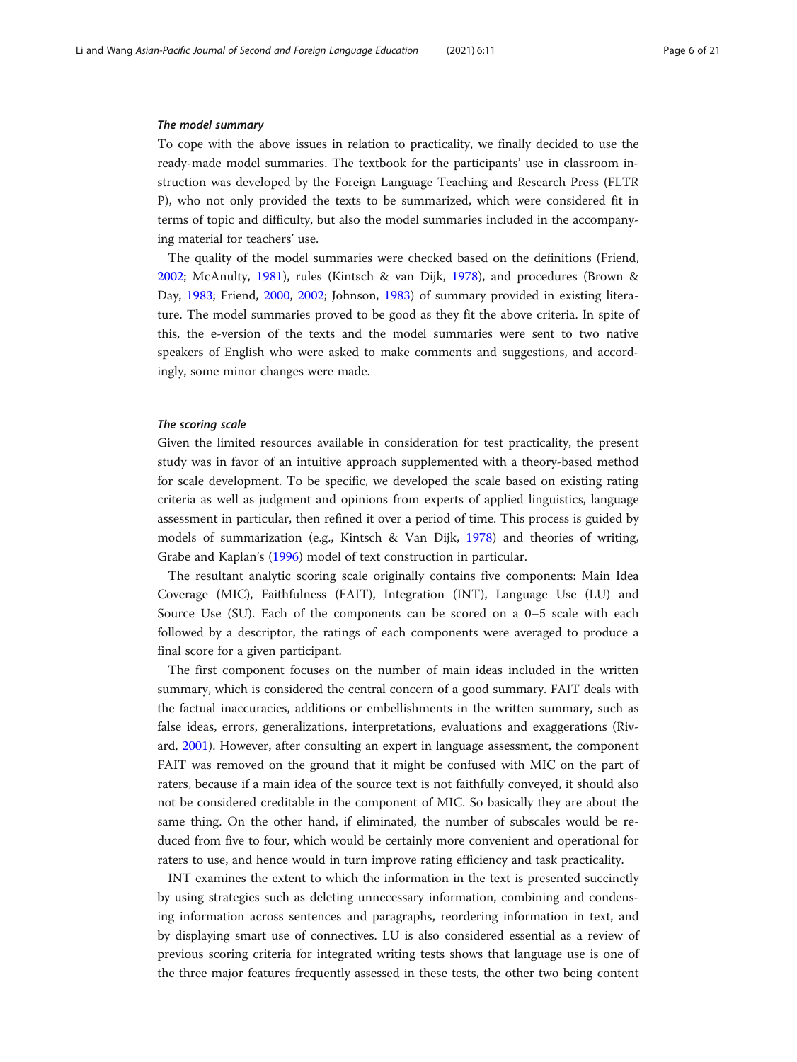#### The model summary

To cope with the above issues in relation to practicality, we finally decided to use the ready-made model summaries. The textbook for the participants' use in classroom instruction was developed by the Foreign Language Teaching and Research Press (FLTR P), who not only provided the texts to be summarized, which were considered fit in terms of topic and difficulty, but also the model summaries included in the accompanying material for teachers' use.

The quality of the model summaries were checked based on the definitions (Friend, [2002](#page-19-0); McAnulty, [1981](#page-20-0)), rules (Kintsch & van Dijk, [1978](#page-19-0)), and procedures (Brown & Day, [1983](#page-19-0); Friend, [2000,](#page-19-0) [2002](#page-19-0); Johnson, [1983\)](#page-19-0) of summary provided in existing literature. The model summaries proved to be good as they fit the above criteria. In spite of this, the e-version of the texts and the model summaries were sent to two native speakers of English who were asked to make comments and suggestions, and accordingly, some minor changes were made.

#### The scoring scale

Given the limited resources available in consideration for test practicality, the present study was in favor of an intuitive approach supplemented with a theory-based method for scale development. To be specific, we developed the scale based on existing rating criteria as well as judgment and opinions from experts of applied linguistics, language assessment in particular, then refined it over a period of time. This process is guided by models of summarization (e.g., Kintsch & Van Dijk, [1978](#page-19-0)) and theories of writing, Grabe and Kaplan's ([1996](#page-19-0)) model of text construction in particular.

The resultant analytic scoring scale originally contains five components: Main Idea Coverage (MIC), Faithfulness (FAIT), Integration (INT), Language Use (LU) and Source Use (SU). Each of the components can be scored on a 0–5 scale with each followed by a descriptor, the ratings of each components were averaged to produce a final score for a given participant.

The first component focuses on the number of main ideas included in the written summary, which is considered the central concern of a good summary. FAIT deals with the factual inaccuracies, additions or embellishments in the written summary, such as false ideas, errors, generalizations, interpretations, evaluations and exaggerations (Rivard, [2001\)](#page-20-0). However, after consulting an expert in language assessment, the component FAIT was removed on the ground that it might be confused with MIC on the part of raters, because if a main idea of the source text is not faithfully conveyed, it should also not be considered creditable in the component of MIC. So basically they are about the same thing. On the other hand, if eliminated, the number of subscales would be reduced from five to four, which would be certainly more convenient and operational for raters to use, and hence would in turn improve rating efficiency and task practicality.

INT examines the extent to which the information in the text is presented succinctly by using strategies such as deleting unnecessary information, combining and condensing information across sentences and paragraphs, reordering information in text, and by displaying smart use of connectives. LU is also considered essential as a review of previous scoring criteria for integrated writing tests shows that language use is one of the three major features frequently assessed in these tests, the other two being content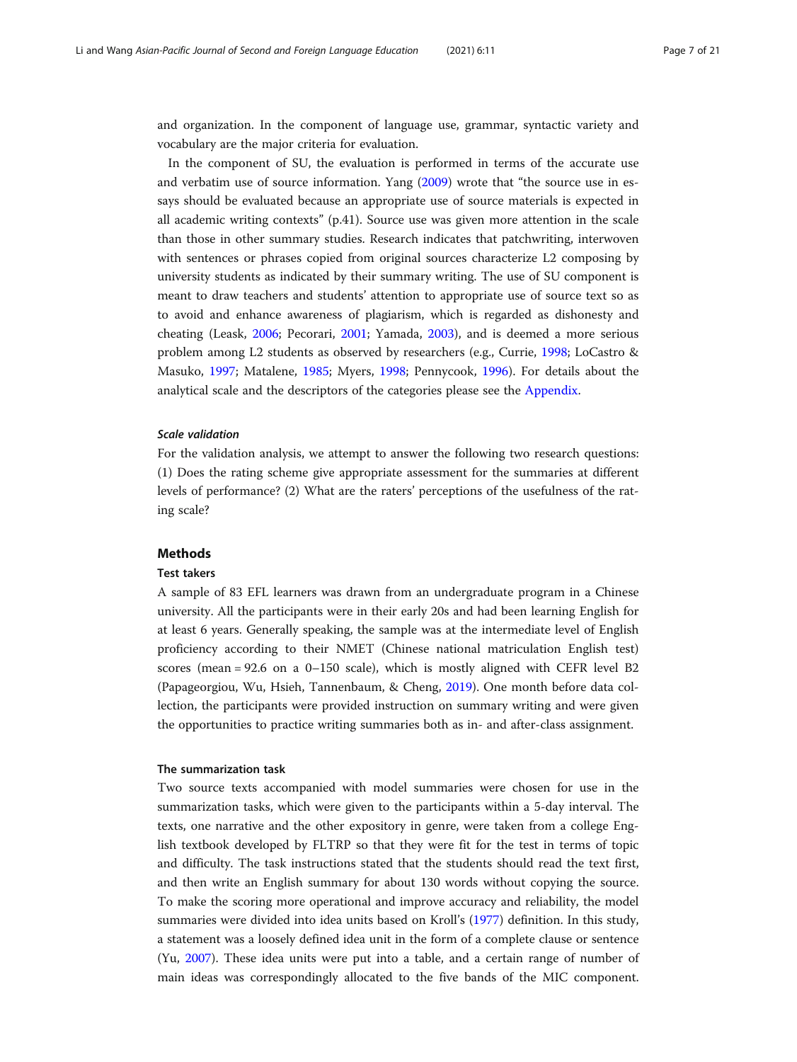and organization. In the component of language use, grammar, syntactic variety and vocabulary are the major criteria for evaluation.

In the component of SU, the evaluation is performed in terms of the accurate use and verbatim use of source information. Yang [\(2009\)](#page-20-0) wrote that "the source use in essays should be evaluated because an appropriate use of source materials is expected in all academic writing contexts" (p.41). Source use was given more attention in the scale than those in other summary studies. Research indicates that patchwriting, interwoven with sentences or phrases copied from original sources characterize L2 composing by university students as indicated by their summary writing. The use of SU component is meant to draw teachers and students' attention to appropriate use of source text so as to avoid and enhance awareness of plagiarism, which is regarded as dishonesty and cheating (Leask, [2006](#page-19-0); Pecorari, [2001](#page-20-0); Yamada, [2003\)](#page-20-0), and is deemed a more serious problem among L2 students as observed by researchers (e.g., Currie, [1998](#page-19-0); LoCastro & Masuko, [1997](#page-20-0); Matalene, [1985;](#page-20-0) Myers, [1998](#page-20-0); Pennycook, [1996](#page-20-0)). For details about the analytical scale and the descriptors of the categories please see the [Appendix](#page-17-0).

#### Scale validation

For the validation analysis, we attempt to answer the following two research questions: (1) Does the rating scheme give appropriate assessment for the summaries at different levels of performance? (2) What are the raters' perceptions of the usefulness of the rating scale?

#### Methods

#### Test takers

A sample of 83 EFL learners was drawn from an undergraduate program in a Chinese university. All the participants were in their early 20s and had been learning English for at least 6 years. Generally speaking, the sample was at the intermediate level of English proficiency according to their NMET (Chinese national matriculation English test) scores (mean = 92.6 on a 0–150 scale), which is mostly aligned with CEFR level B2 (Papageorgiou, Wu, Hsieh, Tannenbaum, & Cheng, [2019\)](#page-20-0). One month before data collection, the participants were provided instruction on summary writing and were given the opportunities to practice writing summaries both as in- and after-class assignment.

#### The summarization task

Two source texts accompanied with model summaries were chosen for use in the summarization tasks, which were given to the participants within a 5-day interval. The texts, one narrative and the other expository in genre, were taken from a college English textbook developed by FLTRP so that they were fit for the test in terms of topic and difficulty. The task instructions stated that the students should read the text first, and then write an English summary for about 130 words without copying the source. To make the scoring more operational and improve accuracy and reliability, the model summaries were divided into idea units based on Kroll's ([1977](#page-19-0)) definition. In this study, a statement was a loosely defined idea unit in the form of a complete clause or sentence (Yu, [2007](#page-20-0)). These idea units were put into a table, and a certain range of number of main ideas was correspondingly allocated to the five bands of the MIC component.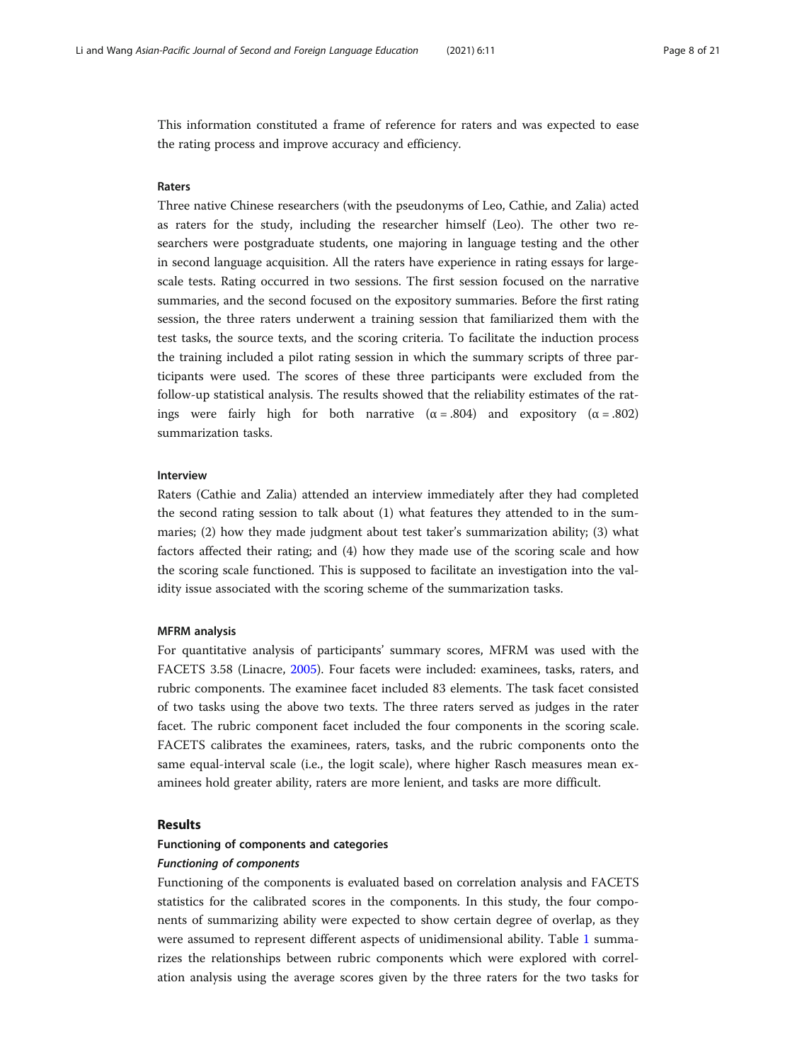This information constituted a frame of reference for raters and was expected to ease the rating process and improve accuracy and efficiency.

#### Raters

Three native Chinese researchers (with the pseudonyms of Leo, Cathie, and Zalia) acted as raters for the study, including the researcher himself (Leo). The other two researchers were postgraduate students, one majoring in language testing and the other in second language acquisition. All the raters have experience in rating essays for largescale tests. Rating occurred in two sessions. The first session focused on the narrative summaries, and the second focused on the expository summaries. Before the first rating session, the three raters underwent a training session that familiarized them with the test tasks, the source texts, and the scoring criteria. To facilitate the induction process the training included a pilot rating session in which the summary scripts of three participants were used. The scores of these three participants were excluded from the follow-up statistical analysis. The results showed that the reliability estimates of the ratings were fairly high for both narrative ( $\alpha = .804$ ) and expository ( $\alpha = .802$ ) summarization tasks.

#### Interview

Raters (Cathie and Zalia) attended an interview immediately after they had completed the second rating session to talk about (1) what features they attended to in the summaries; (2) how they made judgment about test taker's summarization ability; (3) what factors affected their rating; and (4) how they made use of the scoring scale and how the scoring scale functioned. This is supposed to facilitate an investigation into the validity issue associated with the scoring scheme of the summarization tasks.

#### MFRM analysis

For quantitative analysis of participants' summary scores, MFRM was used with the FACETS 3.58 (Linacre, [2005\)](#page-19-0). Four facets were included: examinees, tasks, raters, and rubric components. The examinee facet included 83 elements. The task facet consisted of two tasks using the above two texts. The three raters served as judges in the rater facet. The rubric component facet included the four components in the scoring scale. FACETS calibrates the examinees, raters, tasks, and the rubric components onto the same equal-interval scale (i.e., the logit scale), where higher Rasch measures mean examinees hold greater ability, raters are more lenient, and tasks are more difficult.

#### Results

#### Functioning of components and categories

#### Functioning of components

Functioning of the components is evaluated based on correlation analysis and FACETS statistics for the calibrated scores in the components. In this study, the four components of summarizing ability were expected to show certain degree of overlap, as they were assumed to represent different aspects of unidimensional ability. Table [1](#page-8-0) summarizes the relationships between rubric components which were explored with correlation analysis using the average scores given by the three raters for the two tasks for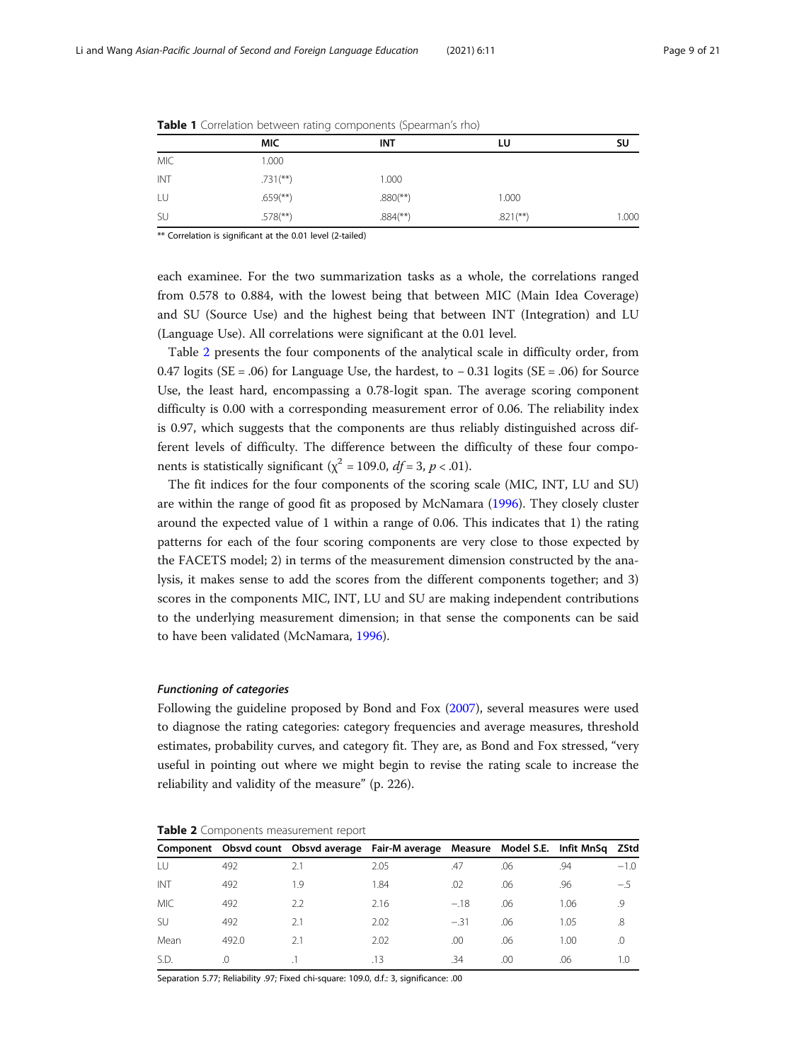|            | <b>MIC</b>             | <b>INT</b>               | LU                     | SU    |
|------------|------------------------|--------------------------|------------------------|-------|
| <b>MIC</b> | 1.000                  |                          |                        |       |
| INT        | $.731$ <sup>**</sup> ) | 1.000                    |                        |       |
| LU         | $.659$ <sup>**</sup> ) | $.880$ <sup>(**)</sup> ) | 1.000                  |       |
| SU         | $.578$ <sup>**</sup> ) | $.884$ <sup>(**)</sup> ) | $.821$ <sup>**</sup> ) | 1.000 |

<span id="page-8-0"></span>

|  |  |  |  | Table 1 Correlation between rating components (Spearman's rho) |  |  |
|--|--|--|--|----------------------------------------------------------------|--|--|
|--|--|--|--|----------------------------------------------------------------|--|--|

\*\* Correlation is significant at the 0.01 level (2-tailed)

each examinee. For the two summarization tasks as a whole, the correlations ranged from 0.578 to 0.884, with the lowest being that between MIC (Main Idea Coverage) and SU (Source Use) and the highest being that between INT (Integration) and LU (Language Use). All correlations were significant at the 0.01 level.

Table 2 presents the four components of the analytical scale in difficulty order, from 0.47 logits (SE = .06) for Language Use, the hardest, to − 0.31 logits (SE = .06) for Source Use, the least hard, encompassing a 0.78-logit span. The average scoring component difficulty is 0.00 with a corresponding measurement error of 0.06. The reliability index is 0.97, which suggests that the components are thus reliably distinguished across different levels of difficulty. The difference between the difficulty of these four components is statistically significant ( $\chi^2$  = 109.0,  $df$  = 3, p < .01).

The fit indices for the four components of the scoring scale (MIC, INT, LU and SU) are within the range of good fit as proposed by McNamara ([1996\)](#page-20-0). They closely cluster around the expected value of 1 within a range of 0.06. This indicates that 1) the rating patterns for each of the four scoring components are very close to those expected by the FACETS model; 2) in terms of the measurement dimension constructed by the analysis, it makes sense to add the scores from the different components together; and 3) scores in the components MIC, INT, LU and SU are making independent contributions to the underlying measurement dimension; in that sense the components can be said to have been validated (McNamara, [1996\)](#page-20-0).

#### Functioning of categories

Following the guideline proposed by Bond and Fox ([2007\)](#page-19-0), several measures were used to diagnose the rating categories: category frequencies and average measures, threshold estimates, probability curves, and category fit. They are, as Bond and Fox stressed, "very useful in pointing out where we might begin to revise the rating scale to increase the reliability and validity of the measure" (p. 226).

| Table 2 Components measurement report |  |  |
|---------------------------------------|--|--|
|---------------------------------------|--|--|

|            |       | Component Obsvd count Obsvd average Fair-M average Measure Model S.E. Infit MnSq ZStd |      |        |     |      |          |
|------------|-------|---------------------------------------------------------------------------------------|------|--------|-----|------|----------|
|            | 492   | 2.1                                                                                   | 2.05 | .47    | .06 | .94  | $-1.0$   |
| INT        | 492   | 1.9                                                                                   | 1.84 | .02    | .06 | .96  | -5       |
| <b>MIC</b> | 492   | 2.2                                                                                   | 2.16 | $-.18$ | .06 | 1.06 | .9       |
| SU         | 492   | 2.1                                                                                   | 2.02 | $-.31$ | .06 | 1.05 | .8       |
| Mean       | 492.0 | 2.1                                                                                   | 2.02 | .00    | .06 | 1.00 | $\Omega$ |
| S.D.       | .0    |                                                                                       | .13  | .34    | .00 | .06  | 1.O      |

Separation 5.77; Reliability .97; Fixed chi-square: 109.0, d.f.: 3, significance: .00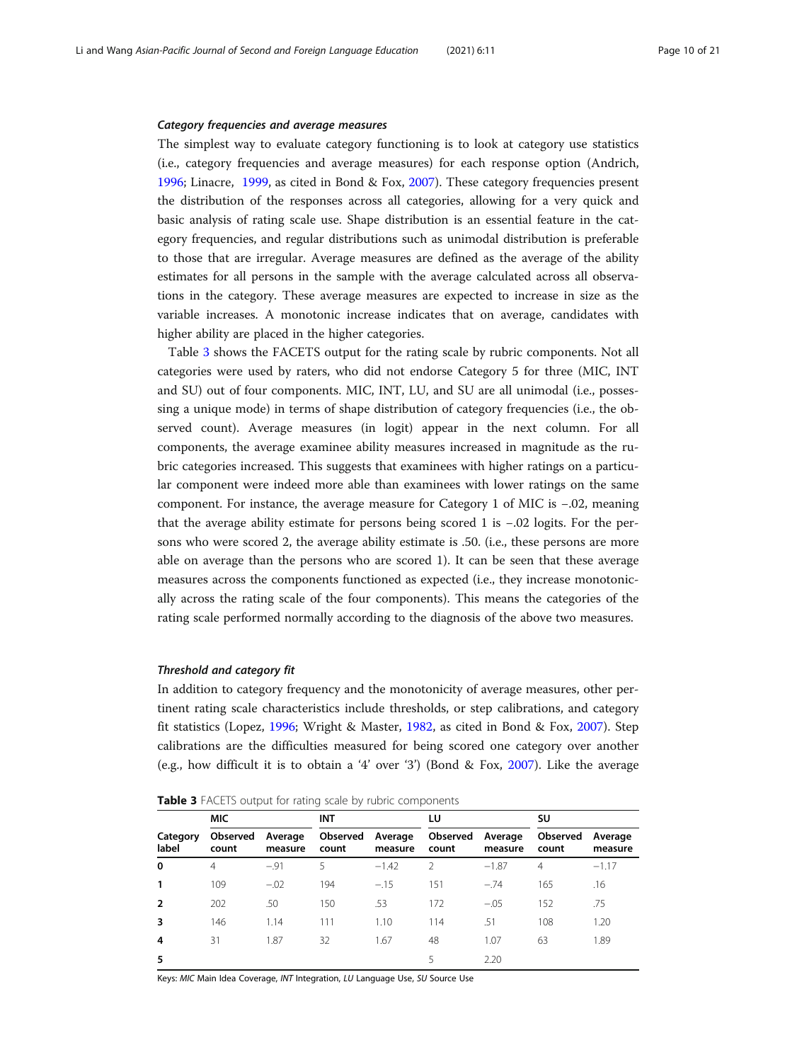#### <span id="page-9-0"></span>Category frequencies and average measures

The simplest way to evaluate category functioning is to look at category use statistics (i.e., category frequencies and average measures) for each response option (Andrich, [1996](#page-19-0); Linacre, [1999,](#page-19-0) as cited in Bond & Fox, [2007](#page-19-0)). These category frequencies present the distribution of the responses across all categories, allowing for a very quick and basic analysis of rating scale use. Shape distribution is an essential feature in the category frequencies, and regular distributions such as unimodal distribution is preferable to those that are irregular. Average measures are defined as the average of the ability estimates for all persons in the sample with the average calculated across all observations in the category. These average measures are expected to increase in size as the variable increases. A monotonic increase indicates that on average, candidates with higher ability are placed in the higher categories.

Table 3 shows the FACETS output for the rating scale by rubric components. Not all categories were used by raters, who did not endorse Category 5 for three (MIC, INT and SU) out of four components. MIC, INT, LU, and SU are all unimodal (i.e., possessing a unique mode) in terms of shape distribution of category frequencies (i.e., the observed count). Average measures (in logit) appear in the next column. For all components, the average examinee ability measures increased in magnitude as the rubric categories increased. This suggests that examinees with higher ratings on a particular component were indeed more able than examinees with lower ratings on the same component. For instance, the average measure for Category 1 of MIC is −.02, meaning that the average ability estimate for persons being scored 1 is −.02 logits. For the persons who were scored 2, the average ability estimate is .50. (i.e., these persons are more able on average than the persons who are scored 1). It can be seen that these average measures across the components functioned as expected (i.e., they increase monotonically across the rating scale of the four components). This means the categories of the rating scale performed normally according to the diagnosis of the above two measures.

#### Threshold and category fit

In addition to category frequency and the monotonicity of average measures, other pertinent rating scale characteristics include thresholds, or step calibrations, and category fit statistics (Lopez, [1996;](#page-20-0) Wright & Master, [1982](#page-20-0), as cited in Bond & Fox, [2007](#page-19-0)). Step calibrations are the difficulties measured for being scored one category over another (e.g., how difficult it is to obtain a '4' over '3') (Bond & Fox, [2007](#page-19-0)). Like the average

| Table 3 FACETS output for rating scale by rubric components |  |
|-------------------------------------------------------------|--|
|-------------------------------------------------------------|--|

|                   | <b>MIC</b>        |                    | <b>INT</b>        |                    | LU                |                    | SU                |                    |
|-------------------|-------------------|--------------------|-------------------|--------------------|-------------------|--------------------|-------------------|--------------------|
| Category<br>label | Observed<br>count | Average<br>measure | Observed<br>count | Average<br>measure | Observed<br>count | Average<br>measure | Observed<br>count | Average<br>measure |
| 0                 | 4                 | $-.91$             | 5                 | $-1.42$            | $\mathcal{P}$     | $-1.87$            | 4                 | $-1.17$            |
|                   | 109               | $-.02$             | 194               | $-.15$             | 151               | $-.74$             | 165               | .16                |
| $\overline{2}$    | 202               | .50                | 150               | .53                | 172               | $-.05$             | 152               | .75                |
| 3                 | 146               | 1.14               | 111               | 1.10               | 114               | .51                | 108               | 1.20               |
| 4                 | 31                | 1.87               | 32                | 1.67               | 48                | 1.07               | 63                | 1.89               |
|                   |                   |                    |                   |                    | 5                 | 2.20               |                   |                    |

Keys: MIC Main Idea Coverage, INT Integration, LU Language Use, SU Source Use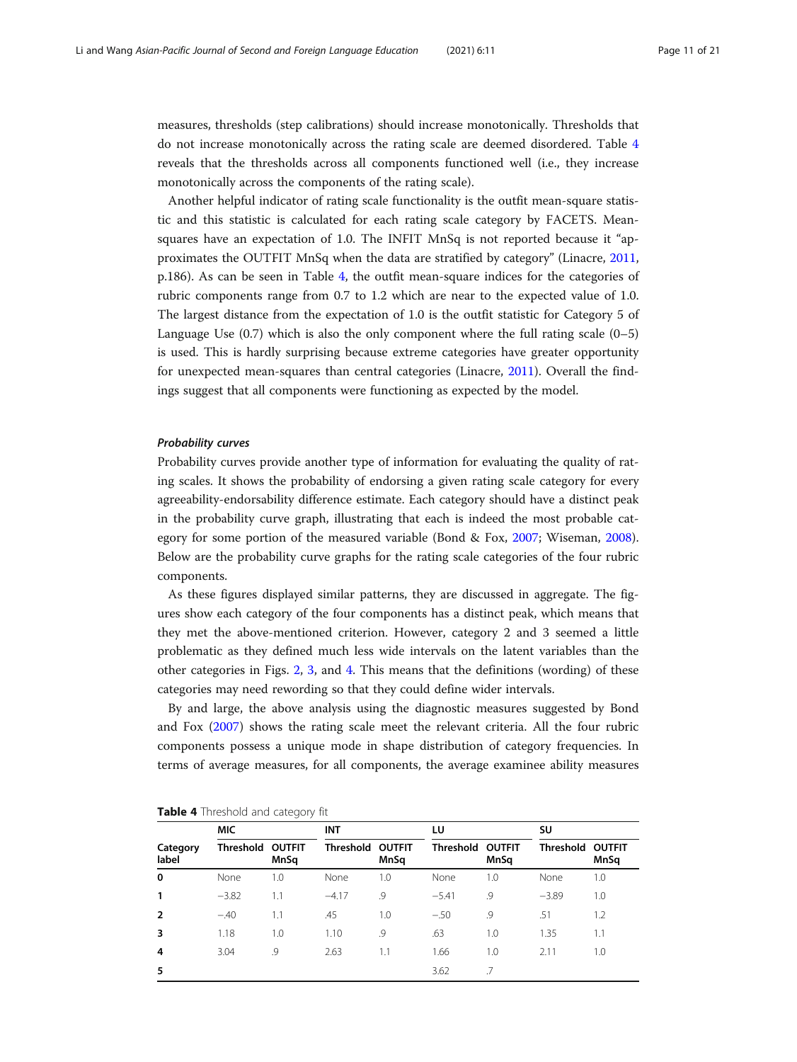<span id="page-10-0"></span>measures, thresholds (step calibrations) should increase monotonically. Thresholds that do not increase monotonically across the rating scale are deemed disordered. Table 4 reveals that the thresholds across all components functioned well (i.e., they increase monotonically across the components of the rating scale).

Another helpful indicator of rating scale functionality is the outfit mean-square statistic and this statistic is calculated for each rating scale category by FACETS. Meansquares have an expectation of 1.0. The INFIT MnSq is not reported because it "approximates the OUTFIT MnSq when the data are stratified by category" (Linacre, [2011](#page-20-0), p.186). As can be seen in Table 4, the outfit mean-square indices for the categories of rubric components range from 0.7 to 1.2 which are near to the expected value of 1.0. The largest distance from the expectation of 1.0 is the outfit statistic for Category 5 of Language Use  $(0.7)$  which is also the only component where the full rating scale  $(0-5)$ is used. This is hardly surprising because extreme categories have greater opportunity for unexpected mean-squares than central categories (Linacre, [2011](#page-20-0)). Overall the findings suggest that all components were functioning as expected by the model.

#### Probability curves

Probability curves provide another type of information for evaluating the quality of rating scales. It shows the probability of endorsing a given rating scale category for every agreeability-endorsability difference estimate. Each category should have a distinct peak in the probability curve graph, illustrating that each is indeed the most probable category for some portion of the measured variable (Bond & Fox, [2007;](#page-19-0) Wiseman, [2008](#page-20-0)). Below are the probability curve graphs for the rating scale categories of the four rubric components.

As these figures displayed similar patterns, they are discussed in aggregate. The figures show each category of the four components has a distinct peak, which means that they met the above-mentioned criterion. However, category 2 and 3 seemed a little problematic as they defined much less wide intervals on the latent variables than the other categories in Figs. [2](#page-14-0), [3,](#page-15-0) and [4.](#page-15-0) This means that the definitions (wording) of these categories may need rewording so that they could define wider intervals.

By and large, the above analysis using the diagnostic measures suggested by Bond and Fox [\(2007](#page-19-0)) shows the rating scale meet the relevant criteria. All the four rubric components possess a unique mode in shape distribution of category frequencies. In terms of average measures, for all components, the average examinee ability measures

|                   | <b>MIC</b>       |                       | <b>INT</b>              |      | LU                      |      | SU               |      |
|-------------------|------------------|-----------------------|-------------------------|------|-------------------------|------|------------------|------|
| Category<br>label | <b>Threshold</b> | <b>OUTFIT</b><br>MnSq | <b>Threshold OUTFIT</b> | MnSq | <b>Threshold OUTFIT</b> | MnSq | Threshold OUTFIT | MnSq |
| $\mathbf 0$       | None             | 1.0                   | None                    | 1.0  | None                    | 1.0  | None             | 1.0  |
| 1                 | $-3.82$          | 1.1                   | $-4.17$                 | .9   | $-5.41$                 | .9   | $-3.89$          | 1.0  |
| $\overline{2}$    | $-.40$           | 1.1                   | .45                     | 1.0  | $-.50$                  | .9   | .51              | 1.2  |
| 3                 | 1.18             | 1.0                   | 1.10                    | .9   | .63                     | 1.0  | 1.35             | 1.1  |
| 4                 | 3.04             | 9.                    | 2.63                    | 1.1  | 1.66                    | 1.0  | 2.11             | 1.0  |
| 5                 |                  |                       |                         |      | 3.62                    | .7   |                  |      |

|  |  |  | Table 4 Threshold and category fit |  |
|--|--|--|------------------------------------|--|
|--|--|--|------------------------------------|--|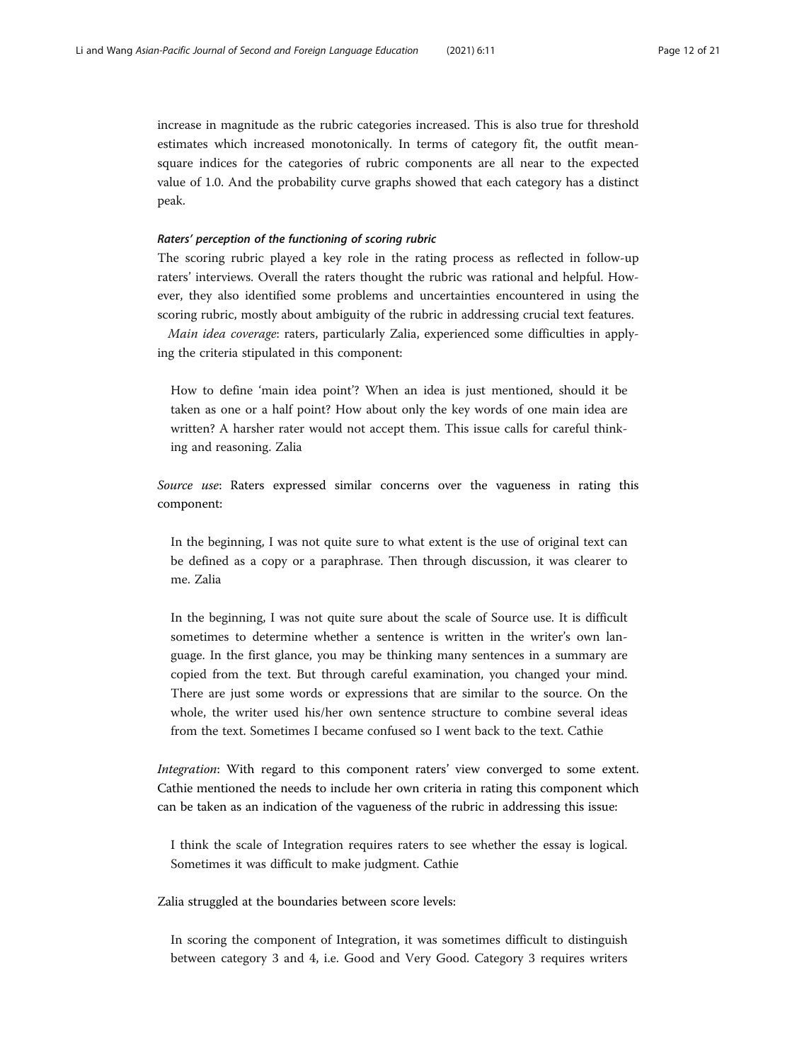increase in magnitude as the rubric categories increased. This is also true for threshold estimates which increased monotonically. In terms of category fit, the outfit meansquare indices for the categories of rubric components are all near to the expected value of 1.0. And the probability curve graphs showed that each category has a distinct peak.

#### Raters' perception of the functioning of scoring rubric

The scoring rubric played a key role in the rating process as reflected in follow-up raters' interviews. Overall the raters thought the rubric was rational and helpful. However, they also identified some problems and uncertainties encountered in using the scoring rubric, mostly about ambiguity of the rubric in addressing crucial text features.

Main idea coverage: raters, particularly Zalia, experienced some difficulties in applying the criteria stipulated in this component:

How to define 'main idea point'? When an idea is just mentioned, should it be taken as one or a half point? How about only the key words of one main idea are written? A harsher rater would not accept them. This issue calls for careful thinking and reasoning. Zalia

Source use: Raters expressed similar concerns over the vagueness in rating this component:

In the beginning, I was not quite sure to what extent is the use of original text can be defined as a copy or a paraphrase. Then through discussion, it was clearer to me. Zalia

In the beginning, I was not quite sure about the scale of Source use. It is difficult sometimes to determine whether a sentence is written in the writer's own language. In the first glance, you may be thinking many sentences in a summary are copied from the text. But through careful examination, you changed your mind. There are just some words or expressions that are similar to the source. On the whole, the writer used his/her own sentence structure to combine several ideas from the text. Sometimes I became confused so I went back to the text. Cathie

Integration: With regard to this component raters' view converged to some extent. Cathie mentioned the needs to include her own criteria in rating this component which can be taken as an indication of the vagueness of the rubric in addressing this issue:

I think the scale of Integration requires raters to see whether the essay is logical. Sometimes it was difficult to make judgment. Cathie

Zalia struggled at the boundaries between score levels:

In scoring the component of Integration, it was sometimes difficult to distinguish between category 3 and 4, i.e. Good and Very Good. Category 3 requires writers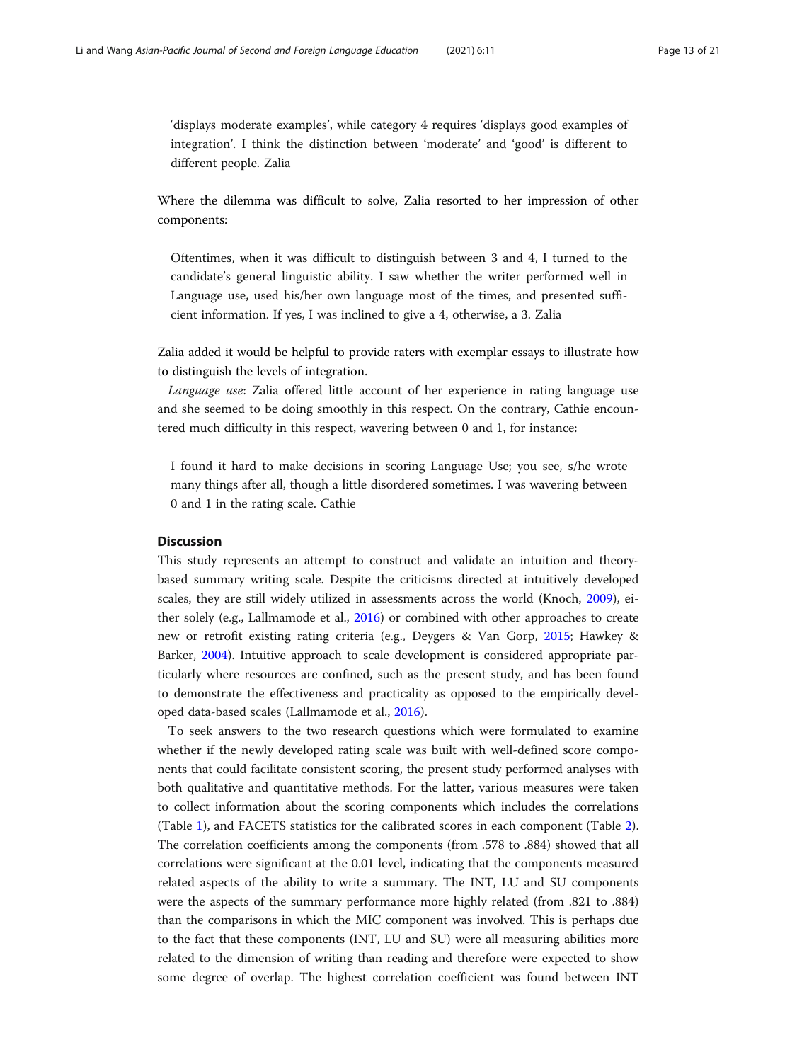'displays moderate examples', while category 4 requires 'displays good examples of integration'. I think the distinction between 'moderate' and 'good' is different to different people. Zalia

Where the dilemma was difficult to solve, Zalia resorted to her impression of other components:

Oftentimes, when it was difficult to distinguish between 3 and 4, I turned to the candidate's general linguistic ability. I saw whether the writer performed well in Language use, used his/her own language most of the times, and presented sufficient information. If yes, I was inclined to give a 4, otherwise, a 3. Zalia

Zalia added it would be helpful to provide raters with exemplar essays to illustrate how to distinguish the levels of integration.

Language use: Zalia offered little account of her experience in rating language use and she seemed to be doing smoothly in this respect. On the contrary, Cathie encountered much difficulty in this respect, wavering between 0 and 1, for instance:

I found it hard to make decisions in scoring Language Use; you see, s/he wrote many things after all, though a little disordered sometimes. I was wavering between 0 and 1 in the rating scale. Cathie

#### **Discussion**

This study represents an attempt to construct and validate an intuition and theorybased summary writing scale. Despite the criticisms directed at intuitively developed scales, they are still widely utilized in assessments across the world (Knoch, [2009](#page-19-0)), either solely (e.g., Lallmamode et al., [2016](#page-19-0)) or combined with other approaches to create new or retrofit existing rating criteria (e.g., Deygers & Van Gorp, [2015](#page-19-0); Hawkey & Barker, [2004](#page-19-0)). Intuitive approach to scale development is considered appropriate particularly where resources are confined, such as the present study, and has been found to demonstrate the effectiveness and practicality as opposed to the empirically developed data-based scales (Lallmamode et al., [2016](#page-19-0)).

To seek answers to the two research questions which were formulated to examine whether if the newly developed rating scale was built with well-defined score components that could facilitate consistent scoring, the present study performed analyses with both qualitative and quantitative methods. For the latter, various measures were taken to collect information about the scoring components which includes the correlations (Table [1\)](#page-8-0), and FACETS statistics for the calibrated scores in each component (Table [2](#page-8-0)). The correlation coefficients among the components (from .578 to .884) showed that all correlations were significant at the 0.01 level, indicating that the components measured related aspects of the ability to write a summary. The INT, LU and SU components were the aspects of the summary performance more highly related (from .821 to .884) than the comparisons in which the MIC component was involved. This is perhaps due to the fact that these components (INT, LU and SU) were all measuring abilities more related to the dimension of writing than reading and therefore were expected to show some degree of overlap. The highest correlation coefficient was found between INT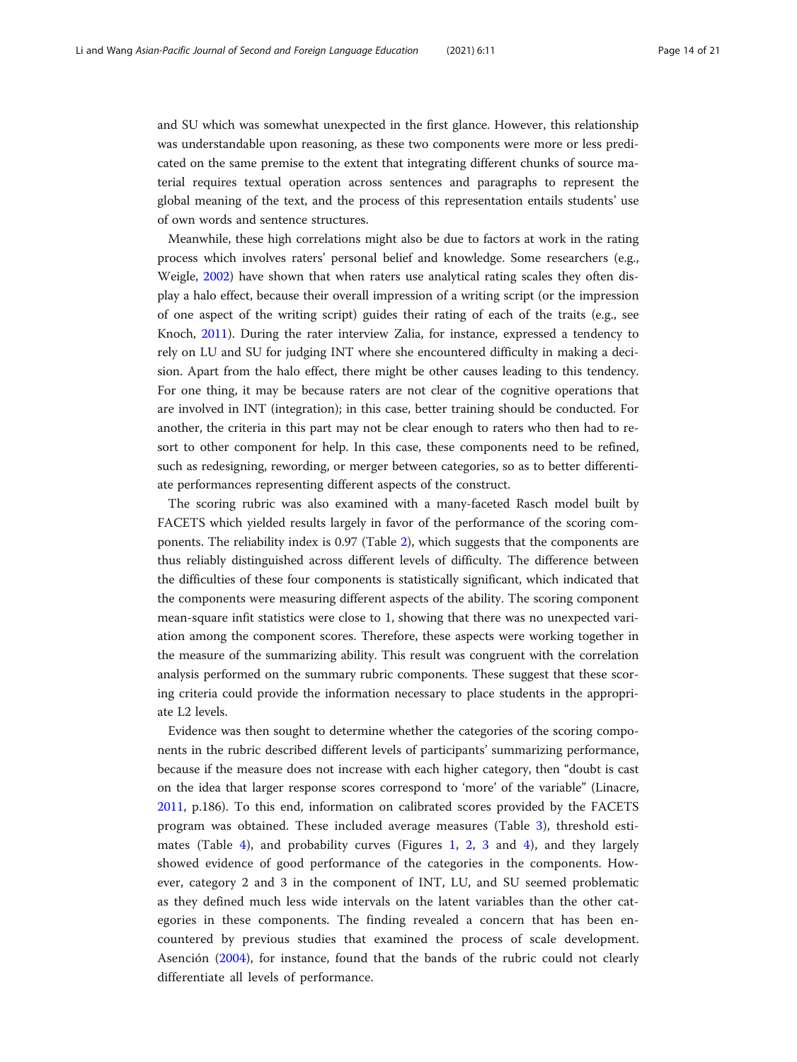and SU which was somewhat unexpected in the first glance. However, this relationship was understandable upon reasoning, as these two components were more or less predicated on the same premise to the extent that integrating different chunks of source material requires textual operation across sentences and paragraphs to represent the global meaning of the text, and the process of this representation entails students' use of own words and sentence structures.

Meanwhile, these high correlations might also be due to factors at work in the rating process which involves raters' personal belief and knowledge. Some researchers (e.g., Weigle, [2002\)](#page-20-0) have shown that when raters use analytical rating scales they often display a halo effect, because their overall impression of a writing script (or the impression of one aspect of the writing script) guides their rating of each of the traits (e.g., see Knoch, [2011](#page-19-0)). During the rater interview Zalia, for instance, expressed a tendency to rely on LU and SU for judging INT where she encountered difficulty in making a decision. Apart from the halo effect, there might be other causes leading to this tendency. For one thing, it may be because raters are not clear of the cognitive operations that are involved in INT (integration); in this case, better training should be conducted. For another, the criteria in this part may not be clear enough to raters who then had to resort to other component for help. In this case, these components need to be refined, such as redesigning, rewording, or merger between categories, so as to better differentiate performances representing different aspects of the construct.

The scoring rubric was also examined with a many-faceted Rasch model built by FACETS which yielded results largely in favor of the performance of the scoring components. The reliability index is 0.97 (Table [2](#page-8-0)), which suggests that the components are thus reliably distinguished across different levels of difficulty. The difference between the difficulties of these four components is statistically significant, which indicated that the components were measuring different aspects of the ability. The scoring component mean-square infit statistics were close to 1, showing that there was no unexpected variation among the component scores. Therefore, these aspects were working together in the measure of the summarizing ability. This result was congruent with the correlation analysis performed on the summary rubric components. These suggest that these scoring criteria could provide the information necessary to place students in the appropriate L2 levels.

Evidence was then sought to determine whether the categories of the scoring components in the rubric described different levels of participants' summarizing performance, because if the measure does not increase with each higher category, then "doubt is cast on the idea that larger response scores correspond to 'more' of the variable" (Linacre, [2011](#page-20-0), p.186). To this end, information on calibrated scores provided by the FACETS program was obtained. These included average measures (Table [3\)](#page-9-0), threshold esti-mates (Table [4](#page-15-0)), and probability curves (Figures [1,](#page-14-0) [2](#page-14-0), [3](#page-15-0) and 4), and they largely showed evidence of good performance of the categories in the components. However, category 2 and 3 in the component of INT, LU, and SU seemed problematic as they defined much less wide intervals on the latent variables than the other categories in these components. The finding revealed a concern that has been encountered by previous studies that examined the process of scale development. Asención ([2004\)](#page-19-0), for instance, found that the bands of the rubric could not clearly differentiate all levels of performance.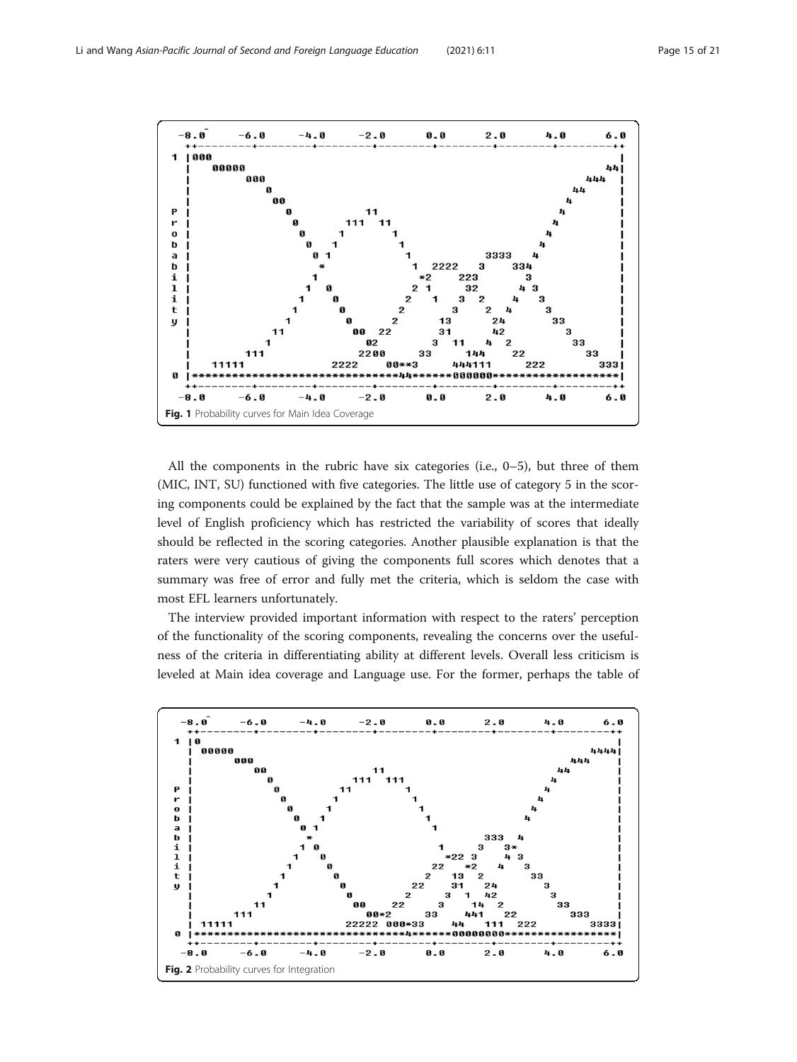<span id="page-14-0"></span>

All the components in the rubric have six categories (i.e.,  $0-5$ ), but three of them (MIC, INT, SU) functioned with five categories. The little use of category 5 in the scoring components could be explained by the fact that the sample was at the intermediate level of English proficiency which has restricted the variability of scores that ideally should be reflected in the scoring categories. Another plausible explanation is that the raters were very cautious of giving the components full scores which denotes that a summary was free of error and fully met the criteria, which is seldom the case with most EFL learners unfortunately.

The interview provided important information with respect to the raters' perception of the functionality of the scoring components, revealing the concerns over the usefulness of the criteria in differentiating ability at different levels. Overall less criticism is leveled at Main idea coverage and Language use. For the former, perhaps the table of

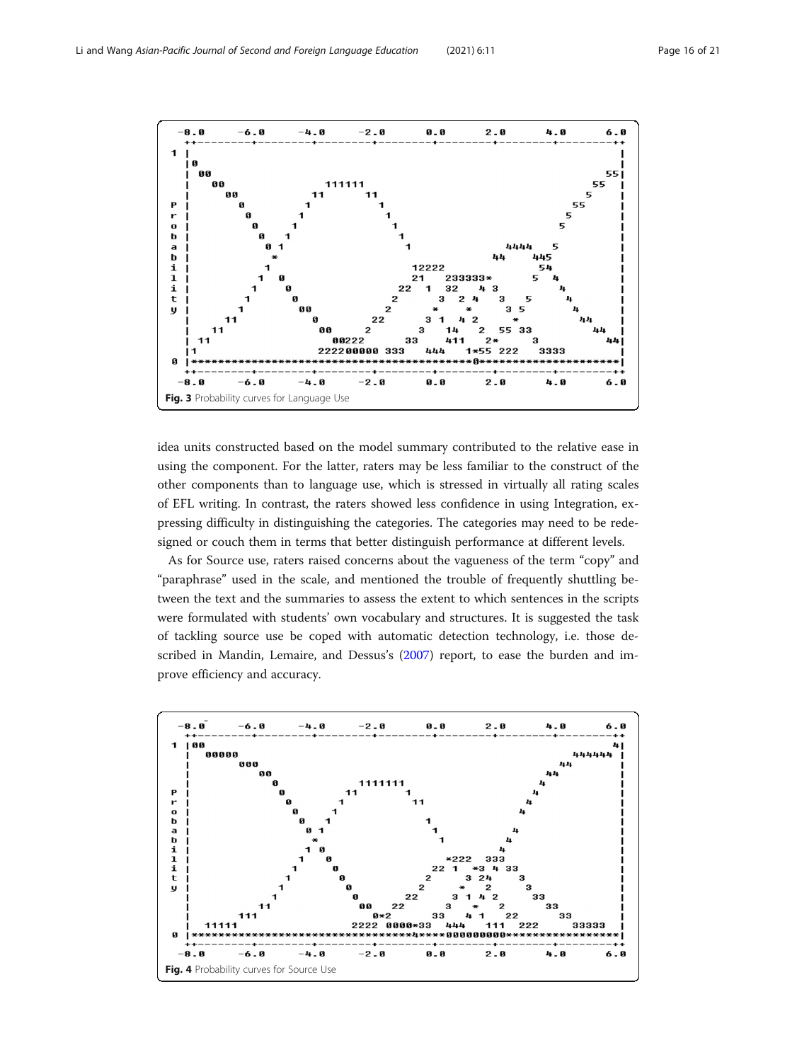<span id="page-15-0"></span>

idea units constructed based on the model summary contributed to the relative ease in using the component. For the latter, raters may be less familiar to the construct of the other components than to language use, which is stressed in virtually all rating scales of EFL writing. In contrast, the raters showed less confidence in using Integration, expressing difficulty in distinguishing the categories. The categories may need to be redesigned or couch them in terms that better distinguish performance at different levels.

As for Source use, raters raised concerns about the vagueness of the term "copy" and "paraphrase" used in the scale, and mentioned the trouble of frequently shuttling between the text and the summaries to assess the extent to which sentences in the scripts were formulated with students' own vocabulary and structures. It is suggested the task of tackling source use be coped with automatic detection technology, i.e. those described in Mandin, Lemaire, and Dessus's ([2007](#page-20-0)) report, to ease the burden and improve efficiency and accuracy.

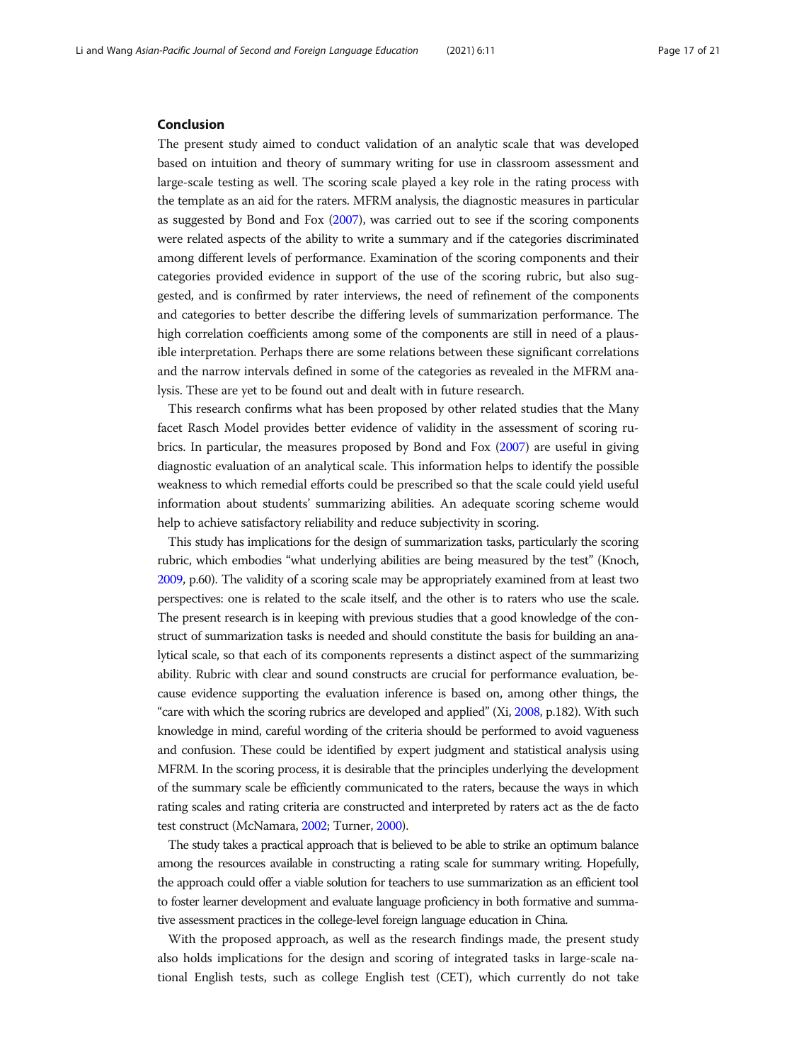#### Conclusion

The present study aimed to conduct validation of an analytic scale that was developed based on intuition and theory of summary writing for use in classroom assessment and large-scale testing as well. The scoring scale played a key role in the rating process with the template as an aid for the raters. MFRM analysis, the diagnostic measures in particular as suggested by Bond and Fox ([2007](#page-19-0)), was carried out to see if the scoring components were related aspects of the ability to write a summary and if the categories discriminated among different levels of performance. Examination of the scoring components and their categories provided evidence in support of the use of the scoring rubric, but also suggested, and is confirmed by rater interviews, the need of refinement of the components and categories to better describe the differing levels of summarization performance. The high correlation coefficients among some of the components are still in need of a plausible interpretation. Perhaps there are some relations between these significant correlations and the narrow intervals defined in some of the categories as revealed in the MFRM analysis. These are yet to be found out and dealt with in future research.

This research confirms what has been proposed by other related studies that the Many facet Rasch Model provides better evidence of validity in the assessment of scoring rubrics. In particular, the measures proposed by Bond and Fox [\(2007\)](#page-19-0) are useful in giving diagnostic evaluation of an analytical scale. This information helps to identify the possible weakness to which remedial efforts could be prescribed so that the scale could yield useful information about students' summarizing abilities. An adequate scoring scheme would help to achieve satisfactory reliability and reduce subjectivity in scoring.

This study has implications for the design of summarization tasks, particularly the scoring rubric, which embodies "what underlying abilities are being measured by the test" (Knoch, [2009,](#page-19-0) p.60). The validity of a scoring scale may be appropriately examined from at least two perspectives: one is related to the scale itself, and the other is to raters who use the scale. The present research is in keeping with previous studies that a good knowledge of the construct of summarization tasks is needed and should constitute the basis for building an analytical scale, so that each of its components represents a distinct aspect of the summarizing ability. Rubric with clear and sound constructs are crucial for performance evaluation, because evidence supporting the evaluation inference is based on, among other things, the "care with which the scoring rubrics are developed and applied" (Xi, [2008,](#page-20-0) p.182). With such knowledge in mind, careful wording of the criteria should be performed to avoid vagueness and confusion. These could be identified by expert judgment and statistical analysis using MFRM. In the scoring process, it is desirable that the principles underlying the development of the summary scale be efficiently communicated to the raters, because the ways in which rating scales and rating criteria are constructed and interpreted by raters act as the de facto test construct (McNamara, [2002](#page-20-0); Turner, [2000](#page-20-0)).

The study takes a practical approach that is believed to be able to strike an optimum balance among the resources available in constructing a rating scale for summary writing. Hopefully, the approach could offer a viable solution for teachers to use summarization as an efficient tool to foster learner development and evaluate language proficiency in both formative and summative assessment practices in the college-level foreign language education in China.

With the proposed approach, as well as the research findings made, the present study also holds implications for the design and scoring of integrated tasks in large-scale national English tests, such as college English test (CET), which currently do not take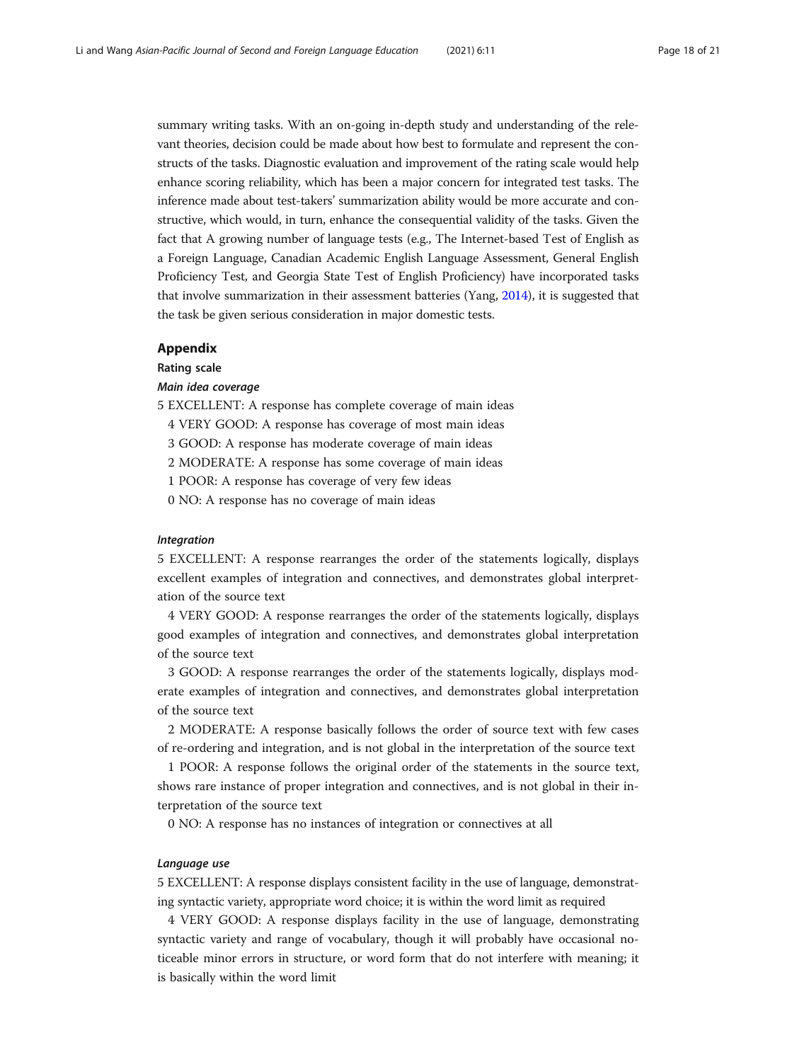<span id="page-17-0"></span>summary writing tasks. With an on-going in-depth study and understanding of the relevant theories, decision could be made about how best to formulate and represent the constructs of the tasks. Diagnostic evaluation and improvement of the rating scale would help enhance scoring reliability, which has been a major concern for integrated test tasks. The inference made about test-takers' summarization ability would be more accurate and constructive, which would, in turn, enhance the consequential validity of the tasks. Given the fact that A growing number of language tests (e.g., The Internet-based Test of English as a Foreign Language, Canadian Academic English Language Assessment, General English Proficiency Test, and Georgia State Test of English Proficiency) have incorporated tasks that involve summarization in their assessment batteries (Yang, [2014\)](#page-20-0), it is suggested that the task be given serious consideration in major domestic tests.

#### Appendix

Rating scale

#### Main idea coverage

- 5 EXCELLENT: A response has complete coverage of main ideas
	- 4 VERY GOOD: A response has coverage of most main ideas
	- 3 GOOD: A response has moderate coverage of main ideas
	- 2 MODERATE: A response has some coverage of main ideas
	- 1 POOR: A response has coverage of very few ideas
	- 0 NO: A response has no coverage of main ideas

#### Integration

5 EXCELLENT: A response rearranges the order of the statements logically, displays excellent examples of integration and connectives, and demonstrates global interpretation of the source text

4 VERY GOOD: A response rearranges the order of the statements logically, displays good examples of integration and connectives, and demonstrates global interpretation of the source text

3 GOOD: A response rearranges the order of the statements logically, displays moderate examples of integration and connectives, and demonstrates global interpretation of the source text

2 MODERATE: A response basically follows the order of source text with few cases of re-ordering and integration, and is not global in the interpretation of the source text

1 POOR: A response follows the original order of the statements in the source text, shows rare instance of proper integration and connectives, and is not global in their interpretation of the source text

0 NO: A response has no instances of integration or connectives at all

#### Language use

5 EXCELLENT: A response displays consistent facility in the use of language, demonstrating syntactic variety, appropriate word choice; it is within the word limit as required

4 VERY GOOD: A response displays facility in the use of language, demonstrating syntactic variety and range of vocabulary, though it will probably have occasional noticeable minor errors in structure, or word form that do not interfere with meaning; it is basically within the word limit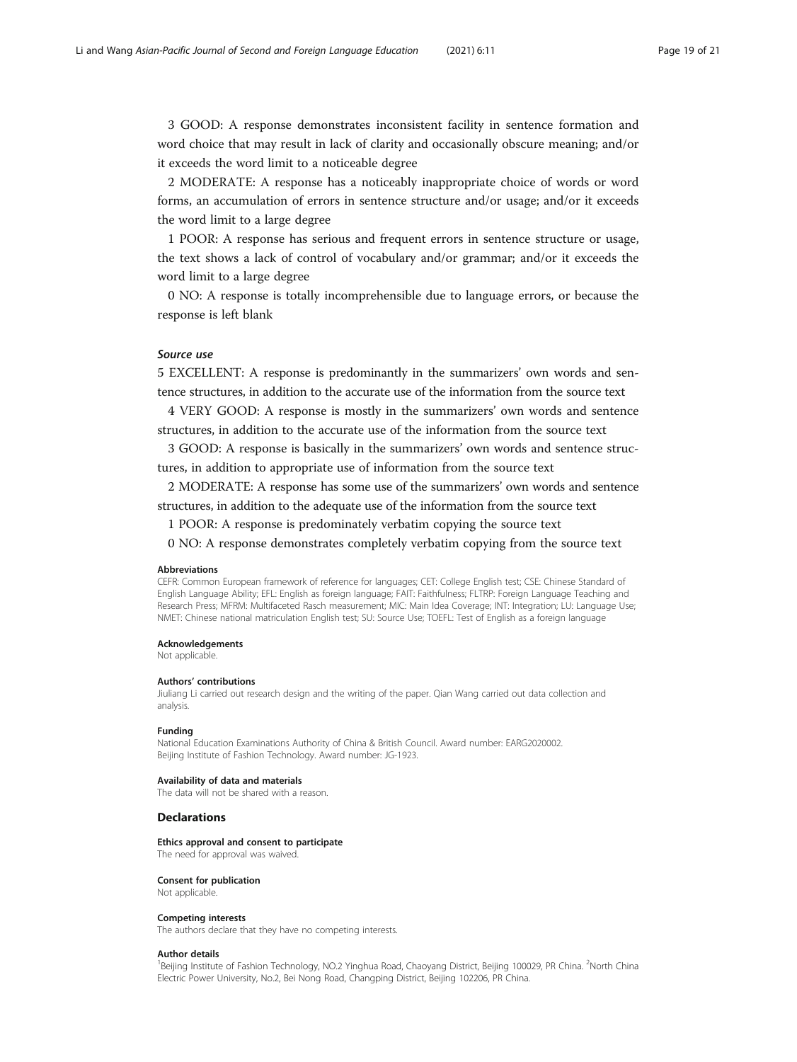3 GOOD: A response demonstrates inconsistent facility in sentence formation and word choice that may result in lack of clarity and occasionally obscure meaning; and/or it exceeds the word limit to a noticeable degree

2 MODERATE: A response has a noticeably inappropriate choice of words or word forms, an accumulation of errors in sentence structure and/or usage; and/or it exceeds the word limit to a large degree

1 POOR: A response has serious and frequent errors in sentence structure or usage, the text shows a lack of control of vocabulary and/or grammar; and/or it exceeds the word limit to a large degree

0 NO: A response is totally incomprehensible due to language errors, or because the response is left blank

#### Source use

5 EXCELLENT: A response is predominantly in the summarizers' own words and sentence structures, in addition to the accurate use of the information from the source text

4 VERY GOOD: A response is mostly in the summarizers' own words and sentence structures, in addition to the accurate use of the information from the source text

3 GOOD: A response is basically in the summarizers' own words and sentence structures, in addition to appropriate use of information from the source text

2 MODERATE: A response has some use of the summarizers' own words and sentence structures, in addition to the adequate use of the information from the source text

1 POOR: A response is predominately verbatim copying the source text

0 NO: A response demonstrates completely verbatim copying from the source text

#### Abbreviations

CEFR: Common European framework of reference for languages; CET: College English test; CSE: Chinese Standard of English Language Ability; EFL: English as foreign language; FAIT: Faithfulness; FLTRP: Foreign Language Teaching and Research Press; MFRM: Multifaceted Rasch measurement; MIC: Main Idea Coverage; INT: Integration; LU: Language Use; NMET: Chinese national matriculation English test; SU: Source Use; TOEFL: Test of English as a foreign language

#### Acknowledgements

Not applicable.

#### Authors' contributions

Jiuliang Li carried out research design and the writing of the paper. Qian Wang carried out data collection and analysis.

#### Funding

National Education Examinations Authority of China & British Council. Award number: EARG2020002. Beijing Institute of Fashion Technology. Award number: JG-1923.

#### Availability of data and materials

The data will not be shared with a reason.

#### **Declarations**

Ethics approval and consent to participate

The need for approval was waived.

#### Consent for publication

Not applicable.

#### Competing interests

The authors declare that they have no competing interests.

#### Author details

<sup>1</sup>Beijing Institute of Fashion Technology, NO.2 Yinghua Road, Chaoyang District, Beijing 100029, PR China. <sup>2</sup>North China Electric Power University, No.2, Bei Nong Road, Changping District, Beijing 102206, PR China.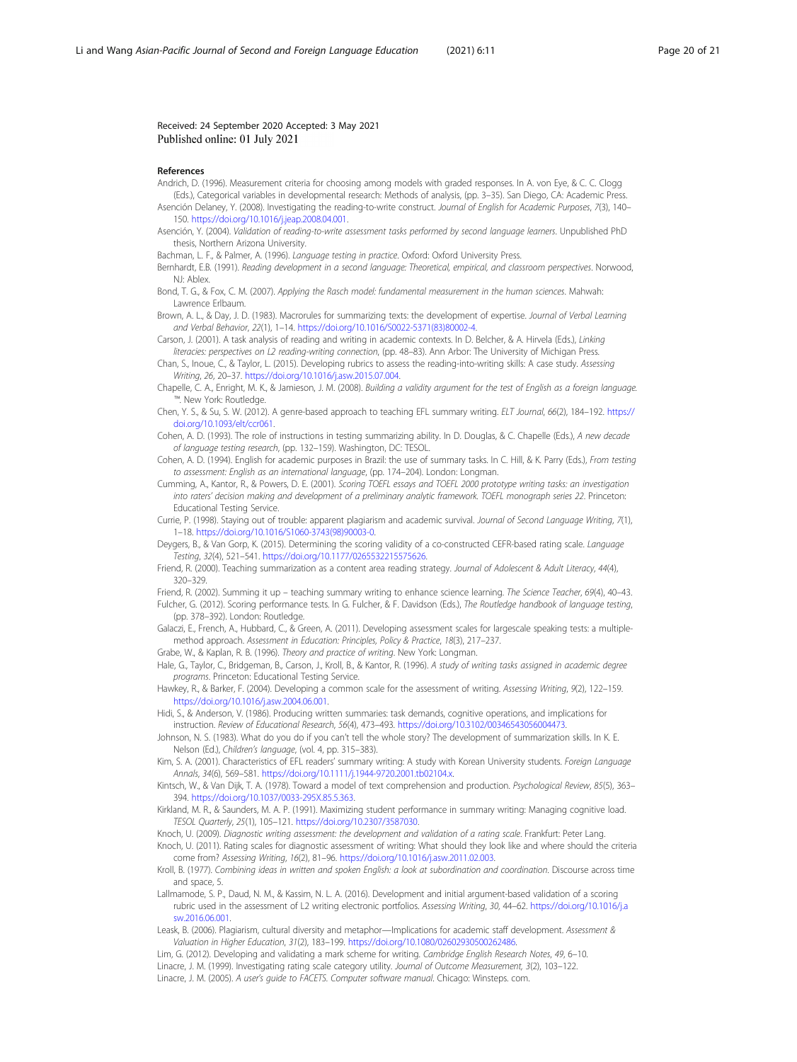#### <span id="page-19-0"></span>Received: 24 September 2020 Accepted: 3 May 2021 Published online: 01 July 2021

#### References

- Andrich, D. (1996). Measurement criteria for choosing among models with graded responses. In A. von Eye, & C. C. Clogg (Eds.), Categorical variables in developmental research: Methods of analysis, (pp. 3–35). San Diego, CA: Academic Press.
- Asención Delaney, Y. (2008). Investigating the reading-to-write construct. Journal of English for Academic Purposes, 7(3), 140– 150. <https://doi.org/10.1016/j.jeap.2008.04.001>.
- Asención, Y. (2004). Validation of reading-to-write assessment tasks performed by second language learners. Unpublished PhD thesis, Northern Arizona University.
- Bachman, L. F., & Palmer, A. (1996). Language testing in practice. Oxford: Oxford University Press.
- Bernhardt, E.B. (1991). Reading development in a second language: Theoretical, empirical, and classroom perspectives. Norwood, NJ: Ablex.
- Bond, T. G., & Fox, C. M. (2007). Applying the Rasch model: fundamental measurement in the human sciences. Mahwah: Lawrence Erlbaum.
- Brown, A. L., & Day, J. D. (1983). Macrorules for summarizing texts: the development of expertise. Journal of Verbal Learning and Verbal Behavior, 22(1), 1–14. [https://doi.org/10.1016/S0022-5371\(83\)80002-4.](https://doi.org/10.1016/S0022-5371(83)80002-4)
- Carson, J. (2001). A task analysis of reading and writing in academic contexts. In D. Belcher, & A. Hirvela (Eds.), Linking literacies: perspectives on L2 reading-writing connection, (pp. 48–83). Ann Arbor: The University of Michigan Press.
- Chan, S., Inoue, C., & Taylor, L. (2015). Developing rubrics to assess the reading-into-writing skills: A case study. Assessing Writing, 26, 20–37. <https://doi.org/10.1016/j.asw.2015.07.004>.
- Chapelle, C. A., Enright, M. K., & Jamieson, J. M. (2008). Building a validity argument for the test of English as a foreign language. ™. New York: Routledge.
- Chen, Y. S., & Su, S. W. (2012). A genre-based approach to teaching EFL summary writing. ELT Journal, 66(2), 184–192. [https://](https://doi.org/10.1093/elt/ccr061) [doi.org/10.1093/elt/ccr061](https://doi.org/10.1093/elt/ccr061).
- Cohen, A. D. (1993). The role of instructions in testing summarizing ability. In D. Douglas, & C. Chapelle (Eds.), A new decade of language testing research, (pp. 132–159). Washington, DC: TESOL.
- Cohen, A. D. (1994). English for academic purposes in Brazil: the use of summary tasks. In C. Hill, & K. Parry (Eds.), From testing to assessment: English as an international language, (pp. 174–204). London: Longman.
- Cumming, A., Kantor, R., & Powers, D. E. (2001). Scoring TOEFL essays and TOEFL 2000 prototype writing tasks: an investigation into raters' decision making and development of a preliminary analytic framework. TOEFL monograph series 22. Princeton: Educational Testing Service.
- Currie, P. (1998). Staying out of trouble: apparent plagiarism and academic survival. Journal of Second Language Writing, 7(1), 1–18. [https://doi.org/10.1016/S1060-3743\(98\)90003-0.](https://doi.org/10.1016/S1060-3743(98)90003-0)
- Deygers, B., & Van Gorp, K. (2015). Determining the scoring validity of a co-constructed CEFR-based rating scale. Language Testing, 32(4), 521–541. <https://doi.org/10.1177/0265532215575626>.
- Friend, R. (2000). Teaching summarization as a content area reading strategy. Journal of Adolescent & Adult Literacy, 44(4), 320–329.
- Friend, R. (2002). Summing it up teaching summary writing to enhance science learning. The Science Teacher, 69(4), 40-43. Fulcher, G. (2012). Scoring performance tests. In G. Fulcher, & F. Davidson (Eds.), The Routledge handbook of language testing, (pp. 378–392). London: Routledge.
- Galaczi, E., French, A., Hubbard, C., & Green, A. (2011). Developing assessment scales for largescale speaking tests: a multiplemethod approach. Assessment in Education: Principles, Policy & Practice, 18(3), 217–237.
- Grabe, W., & Kaplan, R. B. (1996). Theory and practice of writing. New York: Longman.
- Hale, G., Taylor, C., Bridgeman, B., Carson, J., Kroll, B., & Kantor, R. (1996). A study of writing tasks assigned in academic degree programs. Princeton: Educational Testing Service.
- Hawkey, R., & Barker, F. (2004). Developing a common scale for the assessment of writing. Assessing Writing, 9(2), 122–159. [https://doi.org/10.1016/j.asw.2004.06.001.](https://doi.org/10.1016/j.asw.2004.06.001)
- Hidi, S., & Anderson, V. (1986). Producing written summaries: task demands, cognitive operations, and implications for instruction. Review of Educational Research, 56(4), 473–493. [https://doi.org/10.3102/00346543056004473.](https://doi.org/10.3102/00346543056004473)
- Johnson, N. S. (1983). What do you do if you can't tell the whole story? The development of summarization skills. In K. E. Nelson (Ed.), Children's language, (vol. 4, pp. 315–383).
- Kim, S. A. (2001). Characteristics of EFL readers' summary writing: A study with Korean University students. Foreign Language Annals, 34(6), 569–581. <https://doi.org/10.1111/j.1944-9720.2001.tb02104.x>.
- Kintsch, W., & Van Dijk, T. A. (1978). Toward a model of text comprehension and production. Psychological Review, 85(5), 363-394. <https://doi.org/10.1037/0033-295X.85.5.363>.
- Kirkland, M. R., & Saunders, M. A. P. (1991). Maximizing student performance in summary writing: Managing cognitive load. TESOL Quarterly, 25(1), 105–121. <https://doi.org/10.2307/3587030>.
- Knoch, U. (2009). Diagnostic writing assessment: the development and validation of a rating scale. Frankfurt: Peter Lang. Knoch, U. (2011). Rating scales for diagnostic assessment of writing: What should they look like and where should the criteria come from? Assessing Writing, 16(2), 81–96. <https://doi.org/10.1016/j.asw.2011.02.003>.
- Kroll, B. (1977). Combining ideas in written and spoken English: a look at subordination and coordination. Discourse across time and space, 5.
- Lallmamode, S. P., Daud, N. M., & Kassim, N. L. A. (2016). Development and initial argument-based validation of a scoring rubric used in the assessment of L2 writing electronic portfolios. Assessing Writing, 30, 44–62. [https://doi.org/10.1016/j.a](https://doi.org/10.1016/j.asw.2016.06.001) [sw.2016.06.001.](https://doi.org/10.1016/j.asw.2016.06.001)
- Leask, B. (2006). Plagiarism, cultural diversity and metaphor—Implications for academic staff development. Assessment & Valuation in Higher Education, 31(2), 183–199. <https://doi.org/10.1080/02602930500262486>.

Lim, G. (2012). Developing and validating a mark scheme for writing. Cambridge English Research Notes, 49, 6–10. Linacre, J. M. (1999). Investigating rating scale category utility. Journal of Outcome Measurement, 3(2), 103-122. Linacre, J. M. (2005). A user's guide to FACETS. Computer software manual. Chicago: Winsteps. com.